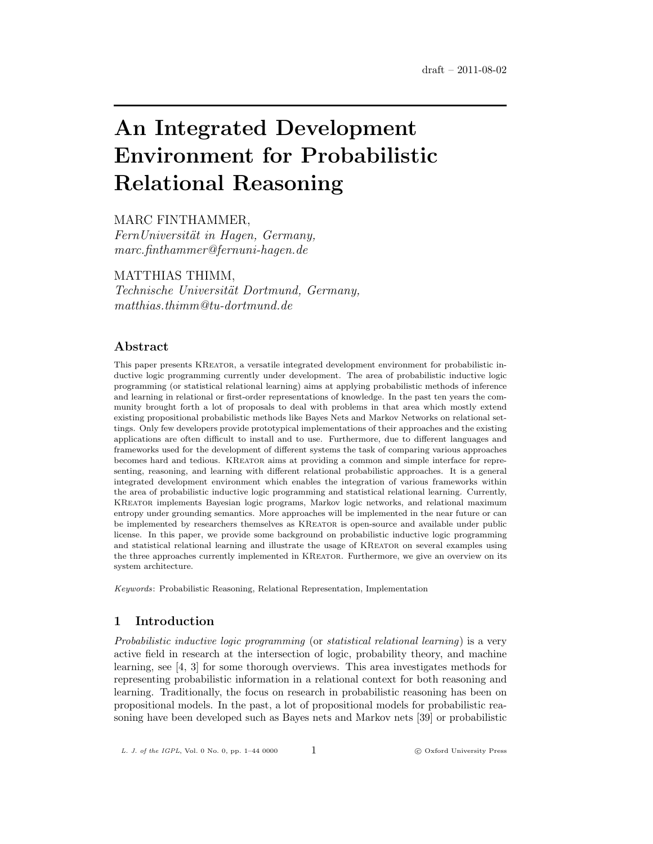MARC FINTHAMMER,

FernUniversität in Hagen, Germany, marc.finthammer@fernuni-hagen.de

MATTHIAS THIMM, Technische Universität Dortmund, Germany, matthias.thimm@tu-dortmund.de

# Abstract

This paper presents KREATOR, a versatile integrated development environment for probabilistic inductive logic programming currently under development. The area of probabilistic inductive logic programming (or statistical relational learning) aims at applying probabilistic methods of inference and learning in relational or first-order representations of knowledge. In the past ten years the community brought forth a lot of proposals to deal with problems in that area which mostly extend existing propositional probabilistic methods like Bayes Nets and Markov Networks on relational settings. Only few developers provide prototypical implementations of their approaches and the existing applications are often difficult to install and to use. Furthermore, due to different languages and frameworks used for the development of different systems the task of comparing various approaches becomes hard and tedious. KREATOR aims at providing a common and simple interface for representing, reasoning, and learning with different relational probabilistic approaches. It is a general integrated development environment which enables the integration of various frameworks within the area of probabilistic inductive logic programming and statistical relational learning. Currently, KReator implements Bayesian logic programs, Markov logic networks, and relational maximum entropy under grounding semantics. More approaches will be implemented in the near future or can be implemented by researchers themselves as KREATOR is open-source and available under public license. In this paper, we provide some background on probabilistic inductive logic programming and statistical relational learning and illustrate the usage of KREATOR on several examples using the three approaches currently implemented in KREATOR. Furthermore, we give an overview on its system architecture.

Keywords: Probabilistic Reasoning, Relational Representation, Implementation

# 1 Introduction

Probabilistic inductive logic programming (or statistical relational learning) is a very active field in research at the intersection of logic, probability theory, and machine learning, see [4, 3] for some thorough overviews. This area investigates methods for representing probabilistic information in a relational context for both reasoning and learning. Traditionally, the focus on research in probabilistic reasoning has been on propositional models. In the past, a lot of propositional models for probabilistic reasoning have been developed such as Bayes nets and Markov nets [39] or probabilistic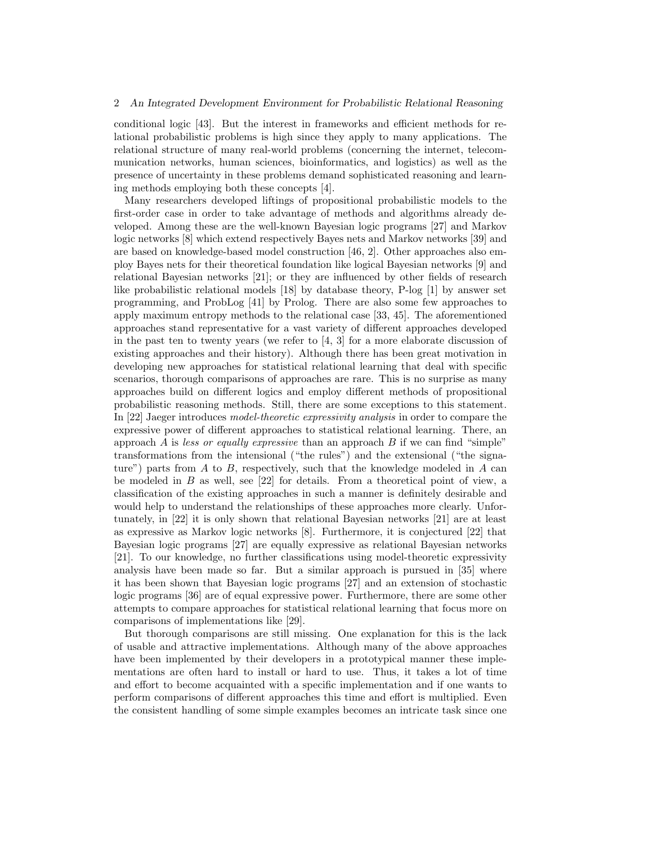conditional logic [43]. But the interest in frameworks and efficient methods for relational probabilistic problems is high since they apply to many applications. The relational structure of many real-world problems (concerning the internet, telecommunication networks, human sciences, bioinformatics, and logistics) as well as the presence of uncertainty in these problems demand sophisticated reasoning and learning methods employing both these concepts [4].

Many researchers developed liftings of propositional probabilistic models to the first-order case in order to take advantage of methods and algorithms already developed. Among these are the well-known Bayesian logic programs [27] and Markov logic networks [8] which extend respectively Bayes nets and Markov networks [39] and are based on knowledge-based model construction [46, 2]. Other approaches also employ Bayes nets for their theoretical foundation like logical Bayesian networks [9] and relational Bayesian networks [21]; or they are influenced by other fields of research like probabilistic relational models [18] by database theory, P-log [1] by answer set programming, and ProbLog [41] by Prolog. There are also some few approaches to apply maximum entropy methods to the relational case [33, 45]. The aforementioned approaches stand representative for a vast variety of different approaches developed in the past ten to twenty years (we refer to  $[4, 3]$  for a more elaborate discussion of existing approaches and their history). Although there has been great motivation in developing new approaches for statistical relational learning that deal with specific scenarios, thorough comparisons of approaches are rare. This is no surprise as many approaches build on different logics and employ different methods of propositional probabilistic reasoning methods. Still, there are some exceptions to this statement. In [22] Jaeger introduces model-theoretic expressivity analysis in order to compare the expressive power of different approaches to statistical relational learning. There, an approach  $A$  is less or equally expressive than an approach  $B$  if we can find "simple" transformations from the intensional ("the rules") and the extensional ("the signature") parts from  $A$  to  $B$ , respectively, such that the knowledge modeled in  $A$  can be modeled in  $B$  as well, see [22] for details. From a theoretical point of view, a classification of the existing approaches in such a manner is definitely desirable and would help to understand the relationships of these approaches more clearly. Unfortunately, in [22] it is only shown that relational Bayesian networks [21] are at least as expressive as Markov logic networks [8]. Furthermore, it is conjectured [22] that Bayesian logic programs [27] are equally expressive as relational Bayesian networks [21]. To our knowledge, no further classifications using model-theoretic expressivity analysis have been made so far. But a similar approach is pursued in [35] where it has been shown that Bayesian logic programs [27] and an extension of stochastic logic programs [36] are of equal expressive power. Furthermore, there are some other attempts to compare approaches for statistical relational learning that focus more on comparisons of implementations like [29].

But thorough comparisons are still missing. One explanation for this is the lack of usable and attractive implementations. Although many of the above approaches have been implemented by their developers in a prototypical manner these implementations are often hard to install or hard to use. Thus, it takes a lot of time and effort to become acquainted with a specific implementation and if one wants to perform comparisons of different approaches this time and effort is multiplied. Even the consistent handling of some simple examples becomes an intricate task since one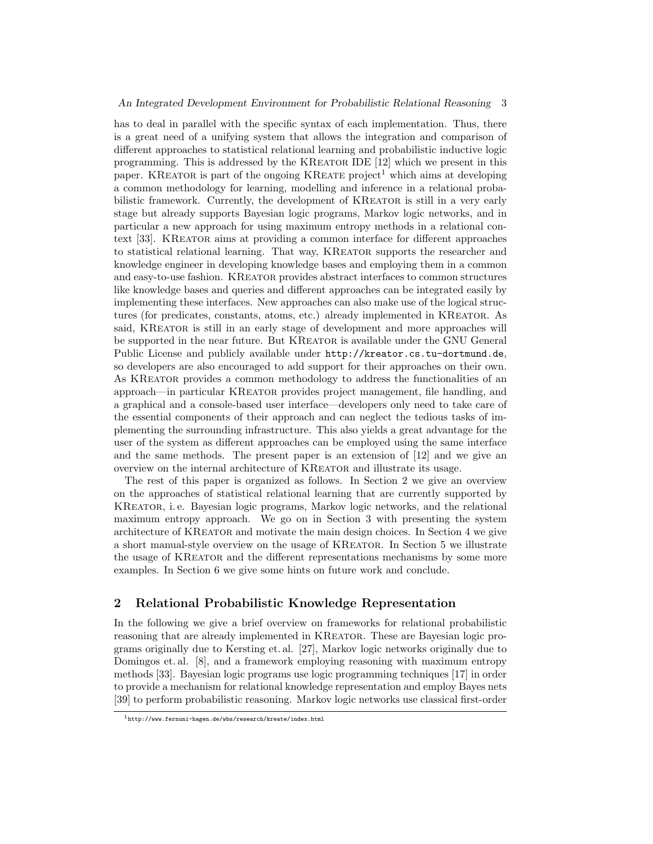has to deal in parallel with the specific syntax of each implementation. Thus, there is a great need of a unifying system that allows the integration and comparison of different approaches to statistical relational learning and probabilistic inductive logic programming. This is addressed by the KReator IDE [12] which we present in this paper. KREATOR is part of the ongoing KREATE project<sup>1</sup> which aims at developing a common methodology for learning, modelling and inference in a relational probabilistic framework. Currently, the development of KREATOR is still in a very early stage but already supports Bayesian logic programs, Markov logic networks, and in particular a new approach for using maximum entropy methods in a relational context [33]. KReator aims at providing a common interface for different approaches to statistical relational learning. That way, KREATOR supports the researcher and knowledge engineer in developing knowledge bases and employing them in a common and easy-to-use fashion. KREATOR provides abstract interfaces to common structures like knowledge bases and queries and different approaches can be integrated easily by implementing these interfaces. New approaches can also make use of the logical structures (for predicates, constants, atoms, etc.) already implemented in KREATOR. As said, KREATOR is still in an early stage of development and more approaches will be supported in the near future. But KREATOR is available under the GNU General Public License and publicly available under http://kreator.cs.tu-dortmund.de, so developers are also encouraged to add support for their approaches on their own. As KREATOR provides a common methodology to address the functionalities of an approach—in particular KREATOR provides project management, file handling, and a graphical and a console-based user interface—developers only need to take care of the essential components of their approach and can neglect the tedious tasks of implementing the surrounding infrastructure. This also yields a great advantage for the user of the system as different approaches can be employed using the same interface and the same methods. The present paper is an extension of [12] and we give an overview on the internal architecture of KREATOR and illustrate its usage.

The rest of this paper is organized as follows. In Section 2 we give an overview on the approaches of statistical relational learning that are currently supported by KReator, i. e. Bayesian logic programs, Markov logic networks, and the relational maximum entropy approach. We go on in Section 3 with presenting the system architecture of KReator and motivate the main design choices. In Section 4 we give a short manual-style overview on the usage of KREATOR. In Section 5 we illustrate the usage of KREATOR and the different representations mechanisms by some more examples. In Section 6 we give some hints on future work and conclude.

# 2 Relational Probabilistic Knowledge Representation

In the following we give a brief overview on frameworks for relational probabilistic reasoning that are already implemented in KREATOR. These are Bayesian logic programs originally due to Kersting et. al. [27], Markov logic networks originally due to Domingos et. al. [8], and a framework employing reasoning with maximum entropy methods [33]. Bayesian logic programs use logic programming techniques [17] in order to provide a mechanism for relational knowledge representation and employ Bayes nets [39] to perform probabilistic reasoning. Markov logic networks use classical first-order

 $1$ http://www.fernuni-hagen.de/wbs/research/kreate/index.html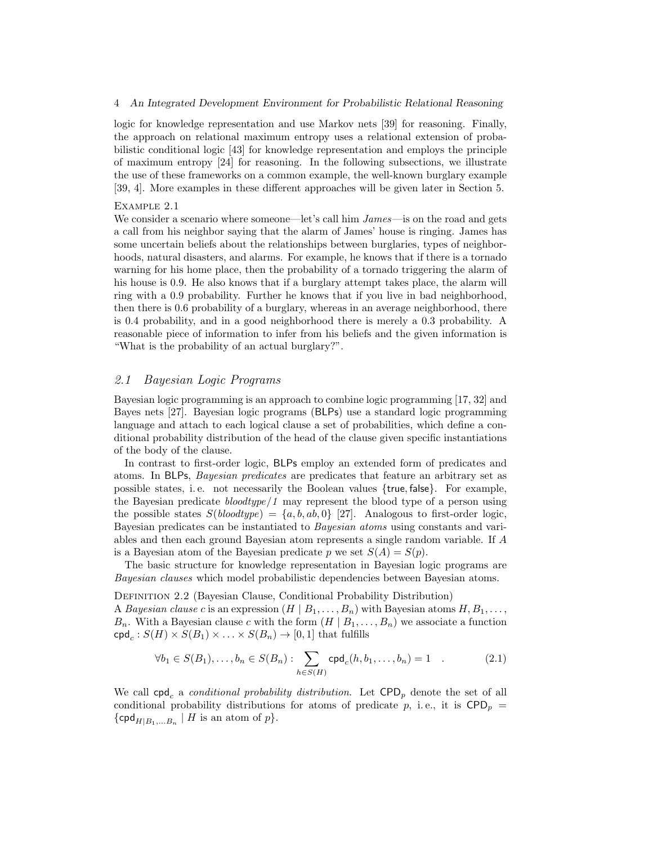logic for knowledge representation and use Markov nets [39] for reasoning. Finally, the approach on relational maximum entropy uses a relational extension of probabilistic conditional logic [43] for knowledge representation and employs the principle of maximum entropy [24] for reasoning. In the following subsections, we illustrate the use of these frameworks on a common example, the well-known burglary example [39, 4]. More examples in these different approaches will be given later in Section 5.

### Example 2.1

We consider a scenario where someone—let's call him *James*—is on the road and gets a call from his neighbor saying that the alarm of James' house is ringing. James has some uncertain beliefs about the relationships between burglaries, types of neighborhoods, natural disasters, and alarms. For example, he knows that if there is a tornado warning for his home place, then the probability of a tornado triggering the alarm of his house is 0.9. He also knows that if a burglary attempt takes place, the alarm will ring with a 0.9 probability. Further he knows that if you live in bad neighborhood, then there is 0.6 probability of a burglary, whereas in an average neighborhood, there is 0.4 probability, and in a good neighborhood there is merely a 0.3 probability. A reasonable piece of information to infer from his beliefs and the given information is "What is the probability of an actual burglary?".

### 2.1 Bayesian Logic Programs

Bayesian logic programming is an approach to combine logic programming [17, 32] and Bayes nets [27]. Bayesian logic programs (BLPs) use a standard logic programming language and attach to each logical clause a set of probabilities, which define a conditional probability distribution of the head of the clause given specific instantiations of the body of the clause.

In contrast to first-order logic, BLPs employ an extended form of predicates and atoms. In BLPs, Bayesian predicates are predicates that feature an arbitrary set as possible states, i. e. not necessarily the Boolean values {true, false}. For example, the Bayesian predicate  $\mathit{bloodtype}/1$  may represent the blood type of a person using the possible states  $S(bloodtype) = \{a, b, ab, 0\}$  [27]. Analogous to first-order logic, Bayesian predicates can be instantiated to Bayesian atoms using constants and variables and then each ground Bayesian atom represents a single random variable. If A is a Bayesian atom of the Bayesian predicate p we set  $S(A) = S(p)$ .

The basic structure for knowledge representation in Bayesian logic programs are Bayesian clauses which model probabilistic dependencies between Bayesian atoms.

Definition 2.2 (Bayesian Clause, Conditional Probability Distribution) A Bayesian clause c is an expression  $(H | B_1, \ldots, B_n)$  with Bayesian atoms  $H, B_1, \ldots,$  $B_n$ . With a Bayesian clause c with the form  $(H | B_1, \ldots, B_n)$  we associate a function  $\mathsf{cpd}_c : S(H) \times S(B_1) \times \ldots \times S(B_n) \to [0,1]$  that fulfills

$$
\forall b_1 \in S(B_1), \dots, b_n \in S(B_n) : \sum_{h \in S(H)} \text{cpd}_c(h, b_1, \dots, b_n) = 1 \quad . \tag{2.1}
$$

We call cpd<sub>c</sub> a *conditional probability distribution*. Let  $\text{CPD}_p$  denote the set of all conditional probability distributions for atoms of predicate p, i.e., it is  $\text{CPD}_p$  =  $\{\mathsf{cpd}_{H|B_1,...B_n} \mid H \text{ is an atom of } p\}.$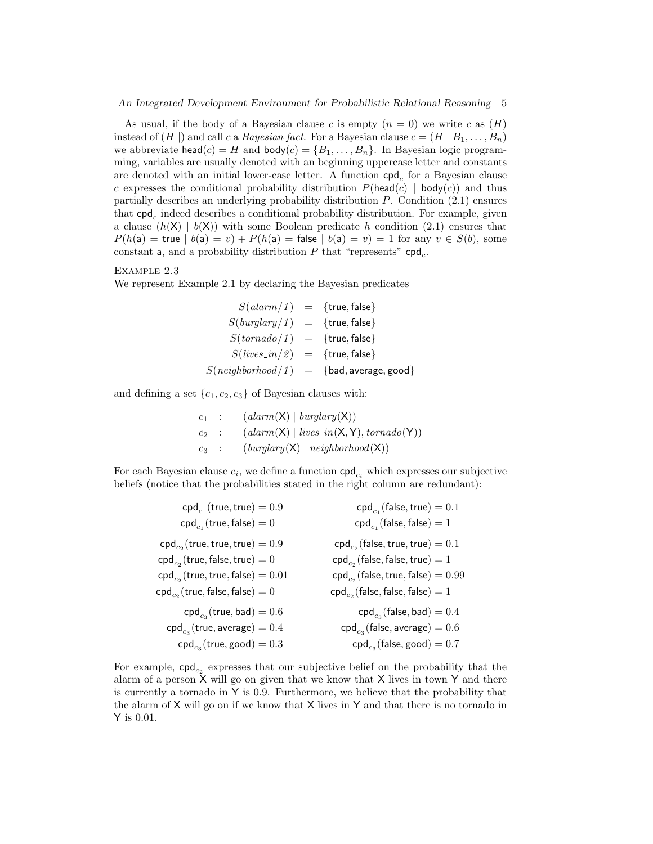As usual, if the body of a Bayesian clause c is empty  $(n = 0)$  we write c as  $(H)$ instead of  $(H |)$  and call c a Bayesian fact. For a Bayesian clause  $c = (H | B_1, \ldots, B_n)$ we abbreviate head(c) = H and body(c) = { $B_1, \ldots, B_n$ }. In Bayesian logic programming, variables are usually denoted with an beginning uppercase letter and constants are denoted with an initial lower-case letter. A function  $\mathsf{cpd}_c$  for a Bayesian clause c expresses the conditional probability distribution  $P(\mathsf{head}(c) | \mathsf{body}(c))$  and thus partially describes an underlying probability distribution  $P$ . Condition  $(2.1)$  ensures that  $\text{cpd}_c$  indeed describes a conditional probability distribution. For example, given a clause  $(h(X) | b(X))$  with some Boolean predicate h condition (2.1) ensures that  $P(h(a) = \text{true} \mid b(a) = v) + P(h(a) = \text{false} \mid b(a) = v) = 1$  for any  $v \in S(b)$ , some constant **a**, and a probability distribution  $P$  that "represents"  $\mathsf{cpd}_c$ .

### Example 2.3

We represent Example 2.1 by declaring the Bayesian predicates

$$
S(alarm/1) = {true, false}
$$
  
\n
$$
S(burglary/1) = {true, false}
$$
  
\n
$$
S(tornado/1) = {true, false}
$$
  
\n
$$
S(lives.in/2) = {true, false}
$$
  
\n
$$
S(neighbourhood/1) = {bad, average, good}
$$

and defining a set  $\{c_1, c_2, c_3\}$  of Bayesian clauses with:

| $c_1$ |         | (alarm(X)   burglary(X))                        |
|-------|---------|-------------------------------------------------|
| $c_2$ | rende a | $(alarm(X)   lives_in(X, Y), tornado(Y))$       |
| $c_3$ | te di S | $(\text{burglary}(X)   \text{neighborhood}(X))$ |

For each Bayesian clause  $c_i$ , we define a function  $\mathsf{cpd}_{c_i}$  which expresses our subjective beliefs (notice that the probabilities stated in the right column are redundant):

| $\mathsf{cpd}_{c_1}(\mathsf{true},\mathsf{true})=0.9$                 | $\mathsf{cpd}_{c_1}(\mathsf{false},\mathsf{true})=0.1$                 |
|-----------------------------------------------------------------------|------------------------------------------------------------------------|
| $\mathsf{cpd}_{c_1}(\mathsf{true},\mathsf{false})=0$                  | $\mathsf{cpd}_{c_1}(\mathsf{false},\mathsf{false})=1$                  |
| $\text{cpd}_{c_2}(\text{true}, \text{true}, \text{true}) = 0.9$       | $\mathsf{cpd}_{c_2}$ (false, true, true) = 0.1                         |
| $\mathsf{cpd}_{c_2}(\mathsf{true},\mathsf{false},\mathsf{true})=0$    | $\mathsf{cpd}_{c_2}(\mathsf{false},\mathsf{false},\mathsf{true})=1$    |
| $\mathsf{cpd}_{c_2}(\mathsf{true},\mathsf{true},\mathsf{false})=0.01$ | $\mathsf{cpd}_{c_2}(\mathsf{false},\mathsf{true},\mathsf{false})=0.99$ |
| $\mathsf{cpd}_{c_2}(\mathsf{true},\mathsf{false},\mathsf{false})=0$   | $\mathsf{cpd}_{c_2}(\mathsf{false},\mathsf{false},\mathsf{false})=1$   |
| $\mathsf{cpd}_{c_3}(\mathsf{true}, \mathsf{bad}) = 0.6$               | $\mathsf{cpd}_{c_3}(\mathsf{false}, \mathsf{bad}) = 0.4$               |
| $\mathsf{cpd}_{c_3}(\mathsf{true}, \mathsf{average}) = 0.4$           | $\mathsf{cpd}_{c_3}(\mathsf{false}, \mathsf{average}) = 0.6$           |
| $\textsf{cpd}_{c_3}(\textsf{true},\textsf{good})=0.3$                 | $\mathsf{cpd}_{c_3}(\mathsf{false}, \mathsf{good}) = 0.7$              |
|                                                                       |                                                                        |

For example,  $\mathsf{cpd}_{c_2}$  expresses that our subjective belief on the probability that the alarm of a person  $X$  will go on given that we know that  $X$  lives in town  $Y$  and there is currently a tornado in  $Y$  is 0.9. Furthermore, we believe that the probability that the alarm of X will go on if we know that X lives in Y and that there is no tornado in Y is 0.01.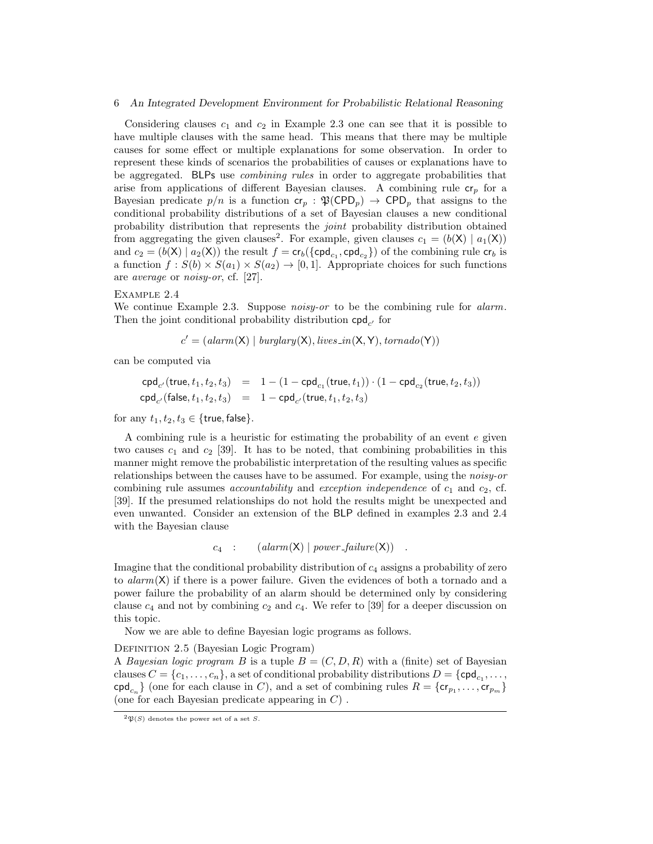Considering clauses  $c_1$  and  $c_2$  in Example 2.3 one can see that it is possible to have multiple clauses with the same head. This means that there may be multiple causes for some effect or multiple explanations for some observation. In order to represent these kinds of scenarios the probabilities of causes or explanations have to be aggregated. BLPs use *combining rules* in order to aggregate probabilities that arise from applications of different Bayesian clauses. A combining rule  $cr_p$  for a Bayesian predicate  $p/n$  is a function  $cr_p : \mathfrak{P}(CPD_p) \to CPD_p$  that assigns to the conditional probability distributions of a set of Bayesian clauses a new conditional probability distribution that represents the joint probability distribution obtained from aggregating the given clauses<sup>2</sup>. For example, given clauses  $c_1 = (b(\mathsf{X}) \mid a_1(\mathsf{X}))$ and  $c_2 = (b(X) | a_2(X))$  the result  $f = cr_b(\{\text{cpd}_{c_1}, \text{cpd}_{c_2}\})$  of the combining rule  $cr_b$  is a function  $f : S(b) \times S(a_1) \times S(a_2) \rightarrow [0, 1]$ . Appropriate choices for such functions are average or noisy-or, cf. [27].

#### Example 2.4

We continue Example 2.3. Suppose *noisy-or* to be the combining rule for *alarm*. Then the joint conditional probability distribution  $\mathsf{cpd}_{c'}$  for

$$
c' = (alarm(X) | \; \text{burglary}(X), \text{lives_in}(X, Y), \text{tornado}(Y))
$$

can be computed via

$$
\begin{array}{lcl} \mathsf{cpd}_{c'}(\mathsf{true},t_1,t_2,t_3) & = & 1 - (1 - \mathsf{cpd}_{c_1}(\mathsf{true},t_1)) \cdot (1 - \mathsf{cpd}_{c_2}(\mathsf{true},t_2,t_3)) \\ \mathsf{cpd}_{c'}(\mathsf{false},t_1,t_2,t_3) & = & 1 - \mathsf{cpd}_{c'}(\mathsf{true},t_1,t_2,t_3) \end{array}
$$

for any  $t_1, t_2, t_3 \in \{\text{true}, \text{false}\}.$ 

A combining rule is a heuristic for estimating the probability of an event e given two causes  $c_1$  and  $c_2$  [39]. It has to be noted, that combining probabilities in this manner might remove the probabilistic interpretation of the resulting values as specific relationships between the causes have to be assumed. For example, using the noisy-or combining rule assumes *accountability* and *exception independence* of  $c_1$  and  $c_2$ , cf. [39]. If the presumed relationships do not hold the results might be unexpected and even unwanted. Consider an extension of the BLP defined in examples 2.3 and 2.4 with the Bayesian clause

$$
c_4 : (alarm(X) | power-failure(X)) .
$$

Imagine that the conditional probability distribution of  $c_4$  assigns a probability of zero to  $alarm(X)$  if there is a power failure. Given the evidences of both a tornado and a power failure the probability of an alarm should be determined only by considering clause  $c_4$  and not by combining  $c_2$  and  $c_4$ . We refer to [39] for a deeper discussion on this topic.

Now we are able to define Bayesian logic programs as follows.

### DEFINITION 2.5 (Bayesian Logic Program)

A Bayesian logic program B is a tuple  $B = (C, D, R)$  with a (finite) set of Bayesian clauses  $C = \{c_1, \ldots, c_n\}$ , a set of conditional probability distributions  $D = \{\mathsf{cpd}_{c_1}, \ldots,$  $\text{\sf cpd}_{c_n}$  (one for each clause in C), and a set of combining rules  $R = \{ \text{\sf cr}_{p_1}, \ldots, \text{\sf cr}_{p_m} \}$ (one for each Bayesian predicate appearing in  $C$ ).

 $^{2}\mathfrak{B}(S)$  denotes the power set of a set S.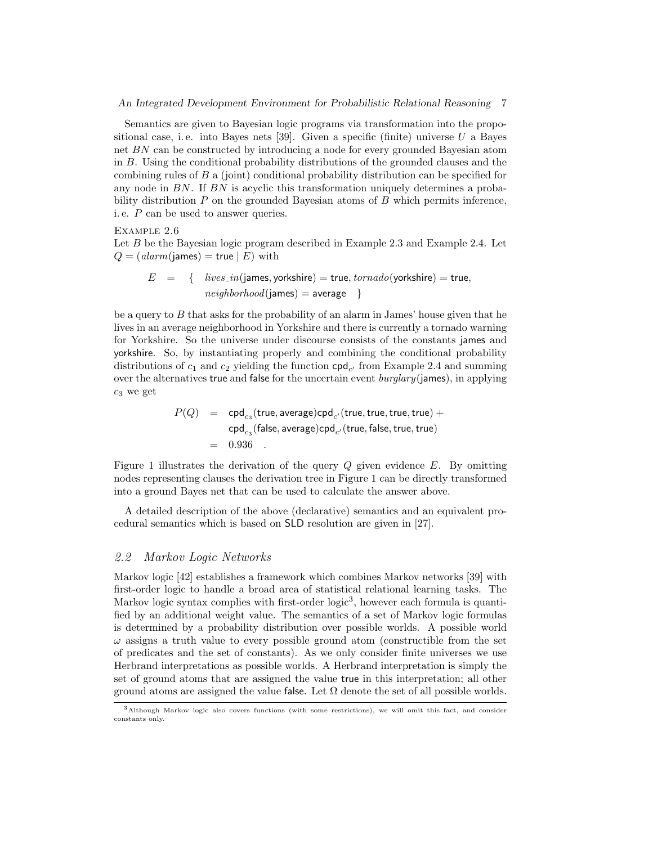Semantics are given to Bayesian logic programs via transformation into the propositional case, i.e. into Bayes nets  $[39]$ . Given a specific (finite) universe U a Bayes net BN can be constructed by introducing a node for every grounded Bayesian atom in B. Using the conditional probability distributions of the grounded clauses and the combining rules of B a (joint) conditional probability distribution can be specified for any node in BN. If BN is acyclic this transformation uniquely determines a probability distribution  $P$  on the grounded Bayesian atoms of  $B$  which permits inference, i. e. P can be used to answer queries.

### Example 2.6

Let B be the Bayesian logic program described in Example 2.3 and Example 2.4. Let  $Q = (alarm(iames) = true | E)$  with

$$
E = \{ \text{lives\_in}(\text{james}, \text{yorkshire}) = \text{true}, \text{tornado}(\text{yorkshire}) = \text{true}, \\ \text{neighbourhood}(\text{james}) = \text{average} \}
$$

be a query to  $B$  that asks for the probability of an alarm in James' house given that he lives in an average neighborhood in Yorkshire and there is currently a tornado warning for Yorkshire. So the universe under discourse consists of the constants james and yorkshire. So, by instantiating properly and combining the conditional probability distributions of  $c_1$  and  $c_2$  yielding the function  $\mathsf{cpd}_{c'}$  from Example 2.4 and summing over the alternatives true and false for the uncertain event *burglary*( $\mathbf{j}$ ames), in applying  $c_3$  we get

$$
\begin{array}{lcl} P(Q) & = & \mathsf{cpd}_{c_3}(\mathsf{true}, \mathsf{average}) \mathsf{cpd}_{c'}(\mathsf{true}, \mathsf{true}, \mathsf{true}, \mathsf{true}, \mathsf{true}) + \\ & & \mathsf{cpd}_{c_3}(\mathsf{false}, \mathsf{average}) \mathsf{cpd}_{c'}(\mathsf{true}, \mathsf{false}, \mathsf{true}, \mathsf{true}) \\ & = & 0.936 \end{array}.
$$

Figure 1 illustrates the derivation of the query  $Q$  given evidence  $E$ . By omitting nodes representing clauses the derivation tree in Figure 1 can be directly transformed into a ground Bayes net that can be used to calculate the answer above.

A detailed description of the above (declarative) semantics and an equivalent procedural semantics which is based on SLD resolution are given in [27].

### 2.2 Markov Logic Networks

Markov logic [42] establishes a framework which combines Markov networks [39] with first-order logic to handle a broad area of statistical relational learning tasks. The Markov logic syntax complies with first-order logic<sup>3</sup>, however each formula is quantified by an additional weight value. The semantics of a set of Markov logic formulas is determined by a probability distribution over possible worlds. A possible world  $\omega$  assigns a truth value to every possible ground atom (constructible from the set of predicates and the set of constants). As we only consider finite universes we use Herbrand interpretations as possible worlds. A Herbrand interpretation is simply the set of ground atoms that are assigned the value true in this interpretation; all other ground atoms are assigned the value false. Let  $\Omega$  denote the set of all possible worlds.

<sup>3</sup>Although Markov logic also covers functions (with some restrictions), we will omit this fact, and consider constants only.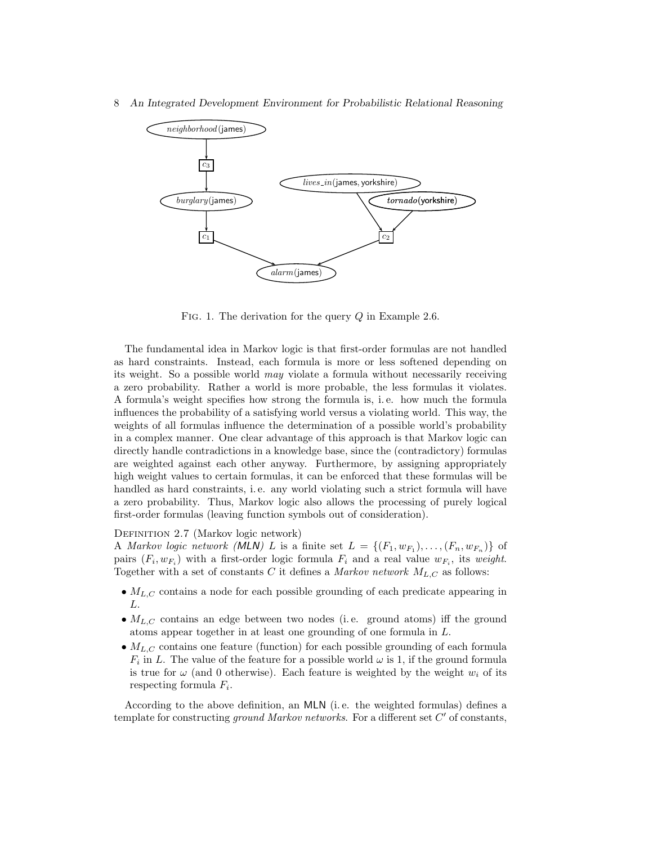

Fig. 1. The derivation for the query Q in Example 2.6.

The fundamental idea in Markov logic is that first-order formulas are not handled as hard constraints. Instead, each formula is more or less softened depending on its weight. So a possible world may violate a formula without necessarily receiving a zero probability. Rather a world is more probable, the less formulas it violates. A formula's weight specifies how strong the formula is, i. e. how much the formula influences the probability of a satisfying world versus a violating world. This way, the weights of all formulas influence the determination of a possible world's probability in a complex manner. One clear advantage of this approach is that Markov logic can directly handle contradictions in a knowledge base, since the (contradictory) formulas are weighted against each other anyway. Furthermore, by assigning appropriately high weight values to certain formulas, it can be enforced that these formulas will be handled as hard constraints, i.e. any world violating such a strict formula will have a zero probability. Thus, Markov logic also allows the processing of purely logical first-order formulas (leaving function symbols out of consideration).

### DEFINITION 2.7 (Markov logic network)

A *Markov logic network (MLN) L* is a finite set  $L = \{(F_1, w_{F_1}), \ldots, (F_n, w_{F_n})\}$  of pairs  $(F_i, w_{F_i})$  with a first-order logic formula  $F_i$  and a real value  $w_{F_i}$ , its weight. Together with a set of constants C it defines a Markov network  $M_{L,C}$  as follows:

- $M_{L,C}$  contains a node for each possible grounding of each predicate appearing in L.
- $M_{L,C}$  contains an edge between two nodes (i.e. ground atoms) iff the ground atoms appear together in at least one grounding of one formula in L.
- $F_i$  in L. The value of the feature for a possible world  $\omega$  is 1, if the ground formula •  $M_{L,C}$  contains one feature (function) for each possible grounding of each formula is true for  $\omega$  (and 0 otherwise). Each feature is weighted by the weight  $w_i$  of its respecting formula  $F_i$ .

According to the above definition, an MLN (i. e. the weighted formulas) defines a template for constructing ground Markov networks. For a different set  $C'$  of constants,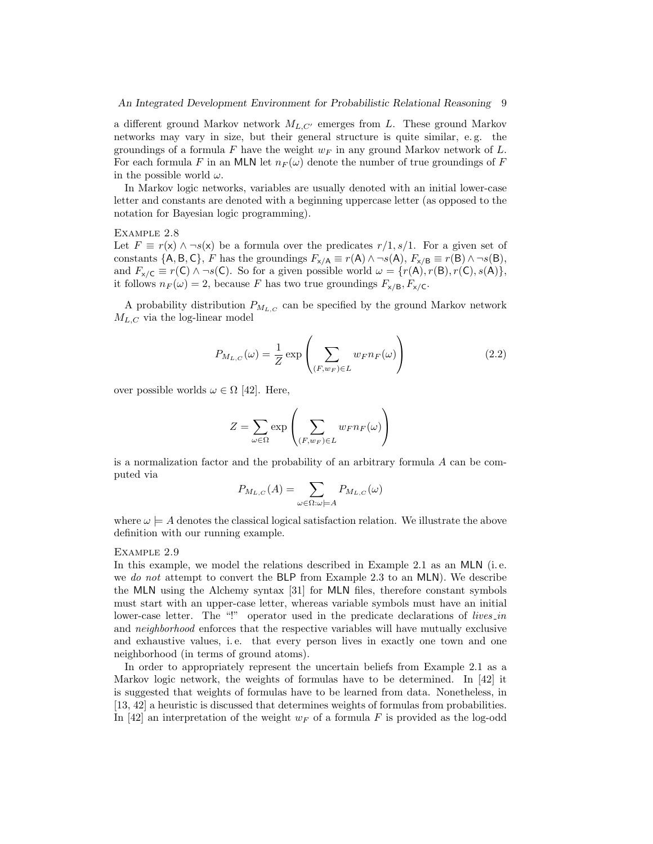a different ground Markov network  $M_{L,C'}$  emerges from L. These ground Markov networks may vary in size, but their general structure is quite similar, e. g. the groundings of a formula F have the weight  $w_F$  in any ground Markov network of L. For each formula F in an MLN let  $n_F(\omega)$  denote the number of true groundings of F in the possible world  $\omega$ .

In Markov logic networks, variables are usually denoted with an initial lower-case letter and constants are denoted with a beginning uppercase letter (as opposed to the notation for Bayesian logic programming).

### Example 2.8

Let  $F \equiv r(x) \wedge \neg s(x)$  be a formula over the predicates  $r/1$ ,  $s/1$ . For a given set of constants  $\{A, B, C\}$ , F has the groundings  $F_{x/A} \equiv r(A) \wedge \neg s(A), F_{x/B} \equiv r(B) \wedge \neg s(B)$ , and  $F_{x/\mathsf{C}} \equiv r(\mathsf{C}) \land \neg s(\mathsf{C})$ . So for a given possible world  $\omega = \{r(\mathsf{A}), r(\mathsf{B}), r(\mathsf{C}), s(\mathsf{A})\},\$ it follows  $n_F(\omega) = 2$ , because F has two true groundings  $F_{\alpha/B}, F_{\alpha/C}$ .

A probability distribution  $P_{M_{L,C}}$  can be specified by the ground Markov network  $M_{L,C}$  via the log-linear model

$$
P_{M_{L,C}}(\omega) = \frac{1}{Z} \exp\left(\sum_{(F,w_F)\in L} w_F n_F(\omega)\right)
$$
 (2.2)

over possible worlds  $\omega \in \Omega$  [42]. Here,

$$
Z = \sum_{\omega \in \Omega} \exp \left( \sum_{(F, w_F) \in L} w_F n_F(\omega) \right)
$$

is a normalization factor and the probability of an arbitrary formula  $A$  can be computed via

$$
P_{M_{L,C}}(A) = \sum_{\omega \in \Omega : \omega \models A} P_{M_{L,C}}(\omega)
$$

where  $\omega \models A$  denotes the classical logical satisfaction relation. We illustrate the above definition with our running example.

### Example 2.9

In this example, we model the relations described in Example 2.1 as an MLN (i. e. we do not attempt to convert the BLP from Example 2.3 to an MLN). We describe the MLN using the Alchemy syntax [31] for MLN files, therefore constant symbols must start with an upper-case letter, whereas variable symbols must have an initial lower-case letter. The "!" operator used in the predicate declarations of *lives in* and neighborhood enforces that the respective variables will have mutually exclusive and exhaustive values, i.e. that every person lives in exactly one town and one neighborhood (in terms of ground atoms).

In order to appropriately represent the uncertain beliefs from Example 2.1 as a Markov logic network, the weights of formulas have to be determined. In [42] it is suggested that weights of formulas have to be learned from data. Nonetheless, in [13, 42] a heuristic is discussed that determines weights of formulas from probabilities. In [42] an interpretation of the weight  $w_F$  of a formula F is provided as the log-odd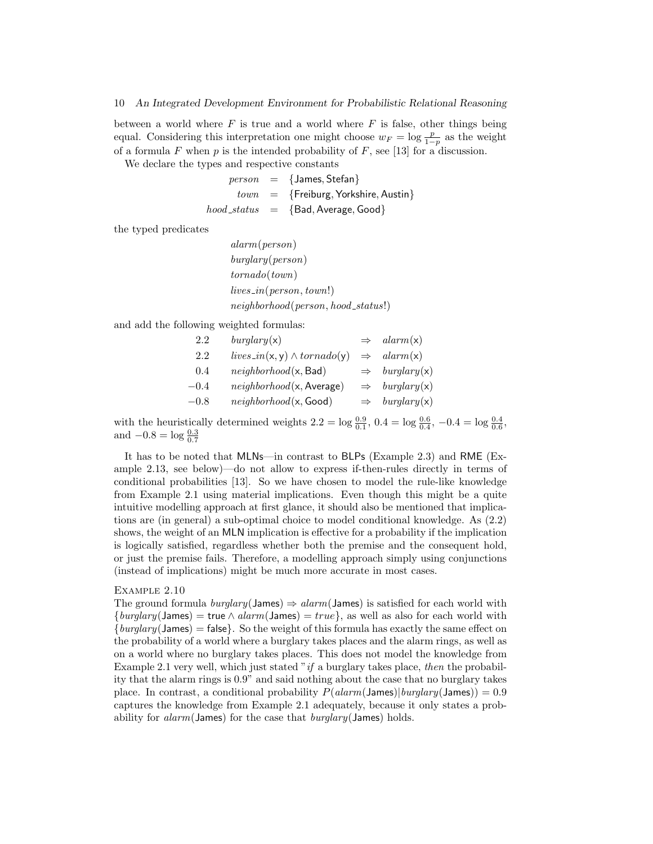between a world where  $F$  is true and a world where  $F$  is false, other things being equal. Considering this interpretation one might choose  $w_F = \log \frac{p}{1-p}$  as the weight of a formula F when p is the intended probability of F, see [13] for a discussion.

We declare the types and respective constants

$$
\begin{array}{rcl}\n \textit{person} & = & \{\texttt{James, Stefan}\}} \\
\textit{town} & = & \{\texttt{Freiburg, Yorkshire, Austin}\} \\
\textit{hood\_status} & = & \{\texttt{Bad, Average, Good}\}\n \end{array}
$$

the typed predicates

alarm(person) burglary(person) tornado(town) lives in(person, town!)  $neighborhood(person, hood\_status!)$ 

and add the following weighted formulas:

| 2.2    | burglary(x)                        | $\Rightarrow$ alarm(x)    |
|--------|------------------------------------|---------------------------|
| 2.2    | $lives_in(x, y) \wedge tornado(y)$ | $\Rightarrow$ alarm(x)    |
| 0.4    | neighborhood(x, Bad)               | $\Rightarrow$ burglary(x) |
| $-0.4$ | neighborhood(x, Average)           | $\Rightarrow$ burglary(x) |
| $-0.8$ | neighborhood(x, Good)              | $\Rightarrow$ burglary(x) |

with the heuristically determined weights  $2.2 = \log \frac{0.9}{0.1}$ ,  $0.4 = \log \frac{0.6}{0.4}$ ,  $-0.4 = \log \frac{0.4}{0.6}$ , and  $-0.8 = \log \frac{0.3}{0.7}$ 

It has to be noted that MLNs—in contrast to BLPs (Example 2.3) and RME (Example 2.13, see below)—do not allow to express if-then-rules directly in terms of conditional probabilities [13]. So we have chosen to model the rule-like knowledge from Example 2.1 using material implications. Even though this might be a quite intuitive modelling approach at first glance, it should also be mentioned that implications are (in general) a sub-optimal choice to model conditional knowledge. As (2.2) shows, the weight of an MLN implication is effective for a probability if the implication is logically satisfied, regardless whether both the premise and the consequent hold, or just the premise fails. Therefore, a modelling approach simply using conjunctions (instead of implications) might be much more accurate in most cases.

### Example 2.10

The ground formula burglary(James)  $\Rightarrow$  alarm(James) is satisfied for each world with  ${burglary}(James) = true \wedge alarm(James) = true},$  as well as also for each world with  ${burglary(James) = false}.$  So the weight of this formula has exactly the same effect on the probability of a world where a burglary takes places and the alarm rings, as well as on a world where no burglary takes places. This does not model the knowledge from Example 2.1 very well, which just stated " $if$  a burglary takes place, then the probability that the alarm rings is 0.9" and said nothing about the case that no burglary takes place. In contrast, a conditional probability  $P(alarm(James)|burglary(James)) = 0.9$ captures the knowledge from Example 2.1 adequately, because it only states a probability for  $alarm(James)$  for the case that  $burglary(James)$  holds.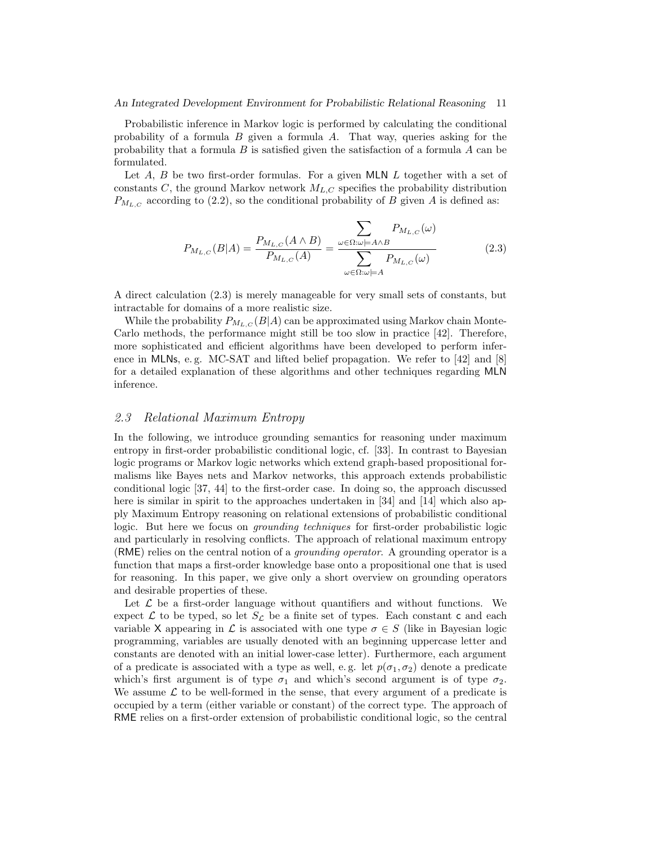Probabilistic inference in Markov logic is performed by calculating the conditional probability of a formula  $B$  given a formula  $A$ . That way, queries asking for the probability that a formula  $B$  is satisfied given the satisfaction of a formula  $A$  can be formulated.

Let  $A, B$  be two first-order formulas. For a given MLN  $L$  together with a set of constants C, the ground Markov network  $M_{L,C}$  specifies the probability distribution  $P_{M_{L,C}}$  according to (2.2), so the conditional probability of B given A is defined as:

$$
P_{M_{L,C}}(B|A) = \frac{P_{M_{L,C}}(A \wedge B)}{P_{M_{L,C}}(A)} = \frac{\sum_{\omega \in \Omega : \omega \models A \wedge B} P_{M_{L,C}}(\omega)}{\sum_{\omega \in \Omega : \omega \models A} P_{M_{L,C}}(\omega)}
$$
(2.3)

A direct calculation (2.3) is merely manageable for very small sets of constants, but intractable for domains of a more realistic size.

While the probability  $P_{M_{L,C}}(B|A)$  can be approximated using Markov chain Monte-Carlo methods, the performance might still be too slow in practice [42]. Therefore, more sophisticated and efficient algorithms have been developed to perform inference in MLNs, e.g. MC-SAT and lifted belief propagation. We refer to [42] and [8] for a detailed explanation of these algorithms and other techniques regarding MLN inference.

# 2.3 Relational Maximum Entropy

In the following, we introduce grounding semantics for reasoning under maximum entropy in first-order probabilistic conditional logic, cf. [33]. In contrast to Bayesian logic programs or Markov logic networks which extend graph-based propositional formalisms like Bayes nets and Markov networks, this approach extends probabilistic conditional logic [37, 44] to the first-order case. In doing so, the approach discussed here is similar in spirit to the approaches undertaken in [34] and [14] which also apply Maximum Entropy reasoning on relational extensions of probabilistic conditional logic. But here we focus on grounding techniques for first-order probabilistic logic and particularly in resolving conflicts. The approach of relational maximum entropy (RME) relies on the central notion of a grounding operator. A grounding operator is a function that maps a first-order knowledge base onto a propositional one that is used for reasoning. In this paper, we give only a short overview on grounding operators and desirable properties of these.

Let  $\mathcal L$  be a first-order language without quantifiers and without functions. We expect  $\mathcal L$  to be typed, so let  $S_{\mathcal L}$  be a finite set of types. Each constant c and each variable X appearing in L is associated with one type  $\sigma \in S$  (like in Bayesian logic programming, variables are usually denoted with an beginning uppercase letter and constants are denoted with an initial lower-case letter). Furthermore, each argument of a predicate is associated with a type as well, e.g. let  $p(\sigma_1, \sigma_2)$  denote a predicate which's first argument is of type  $\sigma_1$  and which's second argument is of type  $\sigma_2$ . We assume  $\mathcal L$  to be well-formed in the sense, that every argument of a predicate is occupied by a term (either variable or constant) of the correct type. The approach of RME relies on a first-order extension of probabilistic conditional logic, so the central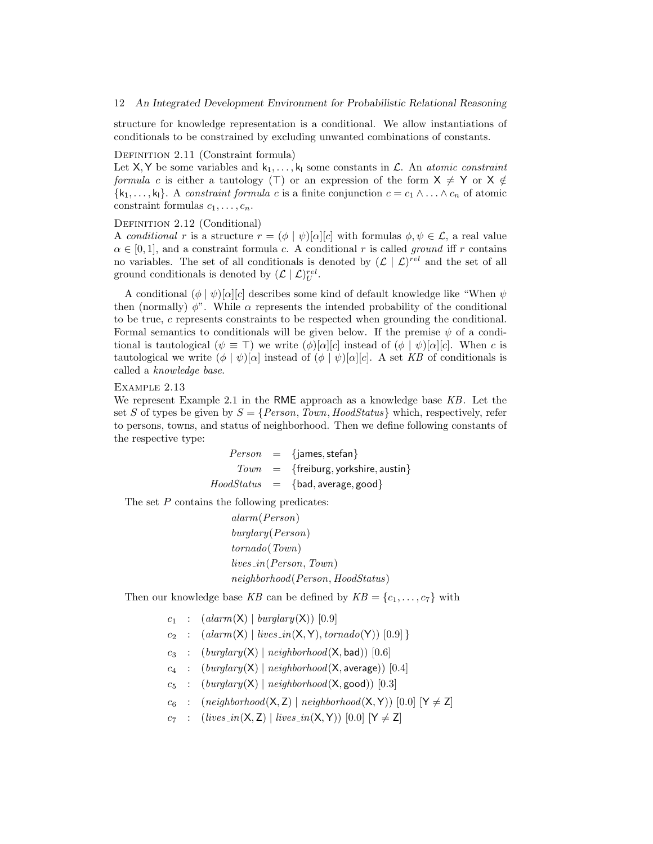structure for knowledge representation is a conditional. We allow instantiations of conditionals to be constrained by excluding unwanted combinations of constants.

DEFINITION 2.11 (Constraint formula)

Let X, Y be some variables and  $k_1, \ldots, k_l$  some constants in  $\mathcal{L}$ . An atomic constraint formula c is either a tautology ( $\top$ ) or an expression of the form  $X \neq Y$  or  $X \notin$  $\{k_1, \ldots, k_l\}$ . A constraint formula c is a finite conjunction  $c = c_1 \wedge \ldots \wedge c_n$  of atomic constraint formulas  $c_1, \ldots, c_n$ .

DEFINITION 2.12 (Conditional)

A conditional r is a structure  $r = (\phi | \psi)|\alpha||c|$  with formulas  $\phi, \psi \in \mathcal{L}$ , a real value  $\alpha \in [0,1]$ , and a constraint formula c. A conditional r is called ground iff r contains no variables. The set of all conditionals is denoted by  $(\mathcal{L} \mid \mathcal{L})^{rel}$  and the set of all ground conditionals is denoted by  $(\mathcal{L} \mid \mathcal{L})_U^{rel}$ .

A conditional  $(\phi | \psi) [\alpha] [c]$  describes some kind of default knowledge like "When  $\psi$ then (normally)  $\phi$ ". While  $\alpha$  represents the intended probability of the conditional to be true, c represents constraints to be respected when grounding the conditional. Formal semantics to conditionals will be given below. If the premise  $\psi$  of a conditional is tautological  $(\psi \equiv \top)$  we write  $(\phi)[\alpha][c]$  instead of  $(\phi | \psi)[\alpha][c]$ . When c is tautological we write  $(\phi | \psi) [\alpha]$  instead of  $(\phi | \psi) [\alpha] [\alpha]$ . A set KB of conditionals is called a knowledge base.

### Example 2.13

We represent Example 2.1 in the RME approach as a knowledge base KB. Let the set S of types be given by  $S = \{Person, Town, HoodStatus\}$  which, respectively, refer to persons, towns, and status of neighborhood. Then we define following constants of the respective type:

| $Person$     | = | {james, stefan}               |
|--------------|---|-------------------------------|
| $Town$       | = | {freiburg, yorkshire, austin} |
| $HoodStatus$ | = | {bad, average, good}          |

The set P contains the following predicates:

alarm(Person) burglary(Person) tornado(Town) lives in(Person, Town) neighborhood(Person, HoodStatus)

Then our knowledge base KB can be defined by  $KB = \{c_1, \ldots, c_7\}$  with

 $c_1$  :  $(alarm(X) | burqlarv(X))$  [0.9]

- $c_2$  :  $(alarm(X) | lives_in(X, Y), tornado(Y)) [0.9]$
- $c_3$  : (burglary(X) | neighborhood(X, bad)) [0.6]
- $c_4$  : (burglary(X) | neighborhood(X, average)) [0.4]
- $c_5$  : (burglary(X) | neighborhood(X, good)) [0.3]
- $c_6$  : (neighborhood(**X**, **Z**) | neighborhood(**X**, **Y**)) [0.0] [**Y**  $\neq$  **Z**]
- $c_7$  : (lives\_in(X, Z) | lives\_in(X, Y)) [0.0] [Y  $\neq$  Z]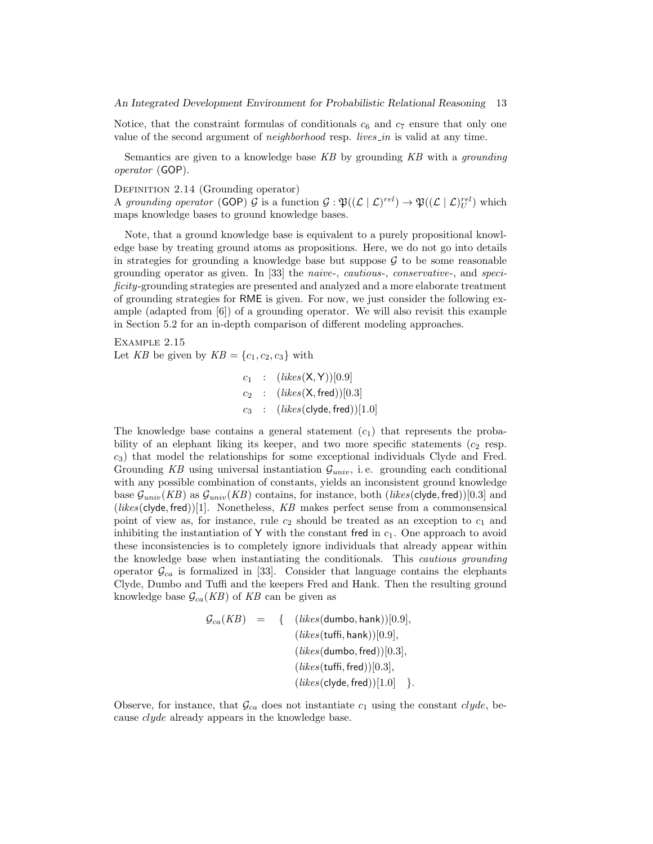Notice, that the constraint formulas of conditionals  $c_6$  and  $c_7$  ensure that only one value of the second argument of *neighborhood* resp. *lives in* is valid at any time.

Semantics are given to a knowledge base  $KB$  by grounding  $KB$  with a *grounding* operator (GOP).

DEFINITION 2.14 (Grounding operator)

A grounding operator (GOP) G is a function  $G: \mathfrak{P}((\mathcal{L} \mid \mathcal{L})^{rel}) \to \mathfrak{P}((\mathcal{L} \mid \mathcal{L})^{rel}_{U})$  which maps knowledge bases to ground knowledge bases.

Note, that a ground knowledge base is equivalent to a purely propositional knowledge base by treating ground atoms as propositions. Here, we do not go into details in strategies for grounding a knowledge base but suppose  $\mathcal G$  to be some reasonable grounding operator as given. In [33] the naive-, cautious-, conservative-, and specificity-grounding strategies are presented and analyzed and a more elaborate treatment of grounding strategies for RME is given. For now, we just consider the following example (adapted from [6]) of a grounding operator. We will also revisit this example in Section 5.2 for an in-depth comparison of different modeling approaches.

Example 2.15 Let KB be given by  $KB = \{c_1, c_2, c_3\}$  with

> $c_1$  :  $(likes(X, Y))[0.9]$  $c_2$  :  $(likes(X, freq))[0.3]$  $c_3$  : (likes(clyde, fred))[1.0]

The knowledge base contains a general statement  $(c_1)$  that represents the probability of an elephant liking its keeper, and two more specific statements  $(c_2 \text{ resp.})$ c3) that model the relationships for some exceptional individuals Clyde and Fred. Grounding KB using universal instantiation  $\mathcal{G}_{univ}$ , i.e. grounding each conditional with any possible combination of constants, yields an inconsistent ground knowledge base  $\mathcal{G}_{univ}(KB)$  as  $\mathcal{G}_{univ}(KB)$  contains, for instance, both (likes(clyde, fred))[0.3] and  $(likes(clyde, fred))[1].$  Nonetheless, KB makes perfect sense from a commonsensical point of view as, for instance, rule  $c_2$  should be treated as an exception to  $c_1$  and inhibiting the instantiation of Y with the constant fred in  $c_1$ . One approach to avoid these inconsistencies is to completely ignore individuals that already appear within the knowledge base when instantiating the conditionals. This cautious grounding operator  $\mathcal{G}_{ca}$  is formalized in [33]. Consider that language contains the elephants Clyde, Dumbo and Tuffi and the keepers Fred and Hank. Then the resulting ground knowledge base  $\mathcal{G}_{ca}(KB)$  of KB can be given as

$$
\mathcal{G}_{ca}(KB) = \{ (likes(\text{dumbo}, \text{hank}))[0.9],
$$
  
\n(*likes*(\text{tuffi}, \text{hank}))[0.9],  
\n(*likes*(\text{dumbo}, \text{fred}))[0.3],  
\n(*likes*(\text{tuffi}, \text{fred}))[0.3],  
\n(*likes*(\text{clyde}, \text{fred}))[1.0] \}.

Observe, for instance, that  $\mathcal{G}_{ca}$  does not instantiate  $c_1$  using the constant clyde, because clyde already appears in the knowledge base.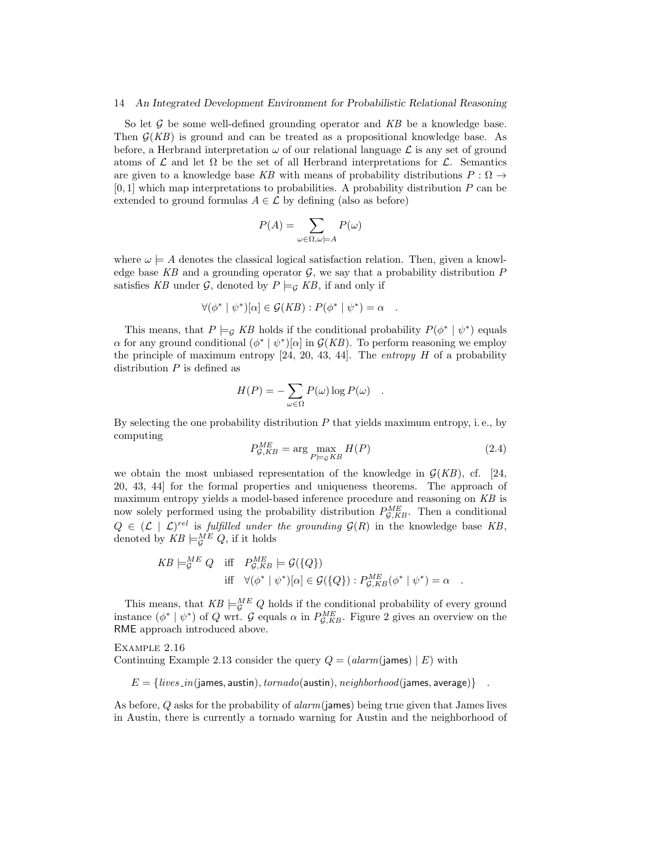So let  $G$  be some well-defined grounding operator and  $KB$  be a knowledge base. Then  $\mathcal{G}(KB)$  is ground and can be treated as a propositional knowledge base. As before, a Herbrand interpretation  $\omega$  of our relational language  $\mathcal L$  is any set of ground atoms of  $\mathcal L$  and let  $\Omega$  be the set of all Herbrand interpretations for  $\mathcal L$ . Semantics are given to a knowledge base KB with means of probability distributions  $P : \Omega \rightarrow$  $[0, 1]$  which map interpretations to probabilities. A probability distribution P can be extended to ground formulas  $A \in \mathcal{L}$  by defining (also as before)

$$
P(A) = \sum_{\omega \in \Omega, \omega \models A} P(\omega)
$$

where  $\omega \models A$  denotes the classical logical satisfaction relation. Then, given a knowledge base KB and a grounding operator  $\mathcal G$ , we say that a probability distribution P satisfies KB under G, denoted by  $P \models_G KB$ , if and only if

$$
\forall (\phi^* \mid \psi^*)[\alpha] \in \mathcal{G}(KB) : P(\phi^* \mid \psi^*) = \alpha .
$$

This means, that  $P \models_G KB$  holds if the conditional probability  $P(\phi^* | \psi^*)$  equals  $\alpha$  for any ground conditional  $(\phi^* | \psi^*)[\alpha]$  in  $\mathcal{G}(KB)$ . To perform reasoning we employ the principle of maximum entropy  $[24, 20, 43, 44]$ . The *entropy H* of a probability distribution  $P$  is defined as

$$
H(P) = -\sum_{\omega \in \Omega} P(\omega) \log P(\omega) .
$$

By selecting the one probability distribution  $P$  that yields maximum entropy, i.e., by computing

$$
P_{\mathcal{G},KB}^{ME} = \arg\max_{P \models_{\mathcal{G}} KB} H(P) \tag{2.4}
$$

we obtain the most unbiased representation of the knowledge in  $\mathcal{G}(KB)$ , cf. [24, 20, 43, 44] for the formal properties and uniqueness theorems. The approach of maximum entropy yields a model-based inference procedure and reasoning on KB is now solely performed using the probability distribution  $P_{\mathcal{G},KB}^{ME}$ . Then a conditional  $Q \in (\mathcal{L} \mid \mathcal{L})^{rel}$  is fulfilled under the grounding  $\mathcal{G}(R)$  in the knowledge base KB, denoted by  $KB \models_{\mathcal{G}}^{ME} Q$ , if it holds

$$
KB \models_{\mathcal{G}}^{ME} Q \quad \text{iff} \quad P_{\mathcal{G},KB}^{ME} \models \mathcal{G}(\{Q\})
$$
  
iff  $\forall (\phi^* \mid \psi^*)[\alpha] \in \mathcal{G}(\{Q\}) : P_{\mathcal{G},KB}^{ME}(\phi^* \mid \psi^*) = \alpha$ .

This means, that  $KB \models_q^{ME} Q$  holds if the conditional probability of every ground instance  $(\phi^* | \psi^*)$  of Q wrt. G equals  $\alpha$  in  $P_{\mathcal{G},KB}^{ME}$ . Figure 2 gives an overview on the RME approach introduced above.

Example 2.16 Continuing Example 2.13 consider the query  $Q = (alarm(james) | E)$  with

 $E = \{lives\_in(iames, austin), tornado(austin), neighborhood(iames, average)\}\$ 

As before, Q asks for the probability of *alarm* (james) being true given that James lives in Austin, there is currently a tornado warning for Austin and the neighborhood of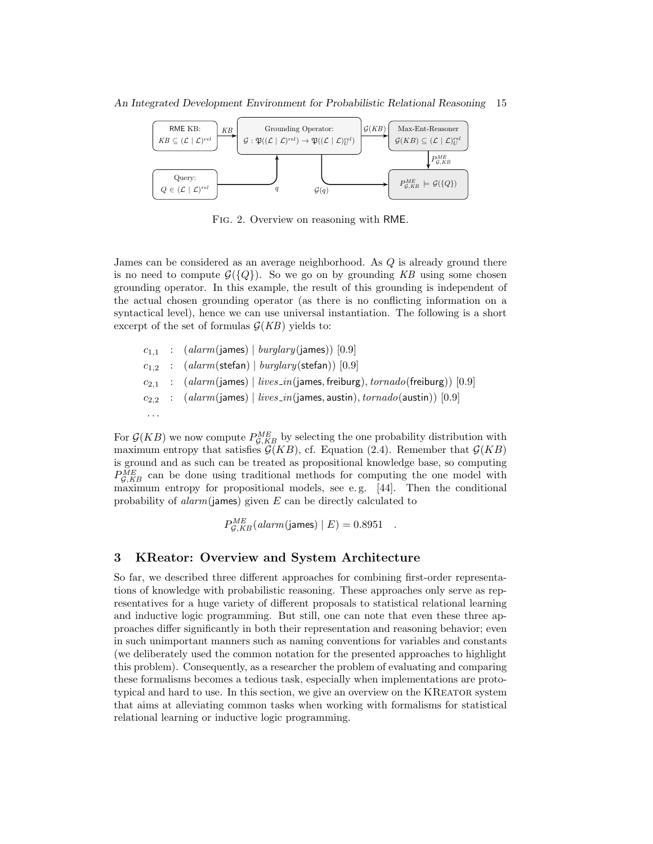

Fig. 2. Overview on reasoning with RME.

James can be considered as an average neighborhood. As Q is already ground there is no need to compute  $\mathcal{G}(\{Q\})$ . So we go on by grounding KB using some chosen grounding operator. In this example, the result of this grounding is independent of the actual chosen grounding operator (as there is no conflicting information on a syntactical level), hence we can use universal instantiation. The following is a short excerpt of the set of formulas  $G(KB)$  yields to:

 $c_{1,1}$  : (alarm(james) | burglary(james)) [0.9]  $c_{1,2}$  : (alarm(stefan) | burglary(stefan)) [0.9]  $c_{2,1}$  :  $(alarm(james) | lives_in(james, freight, tornado(freiburg)) [0.9]$  $c_{2,2}$  :  $(alarm(james) | lives_in(james, austin), tornado(austin)) [0.9]$ . . .

For  $\mathcal{G}(KB)$  we now compute  $P_{\mathcal{G},KB}^{ME}$  by selecting the one probability distribution with maximum entropy that satisfies  $\mathcal{G}(KB)$ , cf. Equation (2.4). Remember that  $\mathcal{G}(KB)$ is ground and as such can be treated as propositional knowledge base, so computing  $P_{\mathcal{G},KB}^{ME}$  can be done using traditional methods for computing the one model with maximum entropy for propositional models, see e.g.  $[44]$ . Then the conditional probability of  $alarm$ (james) given  $E$  can be directly calculated to

$$
P_{\mathcal{G},KB}^{ME} (alarm(\text{james}) \mid E) = 0.8951.
$$

# 3 KReator: Overview and System Architecture

So far, we described three different approaches for combining first-order representations of knowledge with probabilistic reasoning. These approaches only serve as representatives for a huge variety of different proposals to statistical relational learning and inductive logic programming. But still, one can note that even these three approaches differ significantly in both their representation and reasoning behavior; even in such unimportant manners such as naming conventions for variables and constants (we deliberately used the common notation for the presented approaches to highlight this problem). Consequently, as a researcher the problem of evaluating and comparing these formalisms becomes a tedious task, especially when implementations are prototypical and hard to use. In this section, we give an overview on the KREATOR system that aims at alleviating common tasks when working with formalisms for statistical relational learning or inductive logic programming.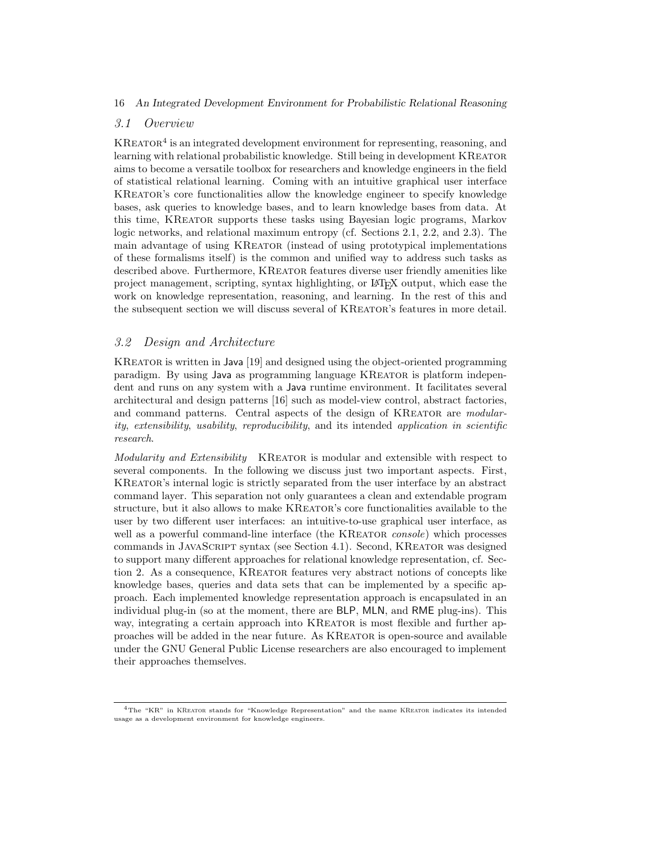# 3.1 Overview

KREATOR<sup>4</sup> is an integrated development environment for representing, reasoning, and learning with relational probabilistic knowledge. Still being in development KREATOR aims to become a versatile toolbox for researchers and knowledge engineers in the field of statistical relational learning. Coming with an intuitive graphical user interface KReator's core functionalities allow the knowledge engineer to specify knowledge bases, ask queries to knowledge bases, and to learn knowledge bases from data. At this time, KREATOR supports these tasks using Bayesian logic programs, Markov logic networks, and relational maximum entropy (cf. Sections 2.1, 2.2, and 2.3). The main advantage of using KReator (instead of using prototypical implementations of these formalisms itself) is the common and unified way to address such tasks as described above. Furthermore, KREATOR features diverse user friendly amenities like project management, scripting, syntax highlighting, or LATEX output, which ease the work on knowledge representation, reasoning, and learning. In the rest of this and the subsequent section we will discuss several of KREATOR's features in more detail.

# 3.2 Design and Architecture

KReator is written in Java [19] and designed using the object-oriented programming paradigm. By using Java as programming language KReator is platform independent and runs on any system with a Java runtime environment. It facilitates several architectural and design patterns [16] such as model-view control, abstract factories, and command patterns. Central aspects of the design of KREATOR are modularity, extensibility, usability, reproducibility, and its intended application in scientific research.

Modularity and Extensibility KREATOR is modular and extensible with respect to several components. In the following we discuss just two important aspects. First, KReator's internal logic is strictly separated from the user interface by an abstract command layer. This separation not only guarantees a clean and extendable program structure, but it also allows to make KREATOR's core functionalities available to the user by two different user interfaces: an intuitive-to-use graphical user interface, as well as a powerful command-line interface (the KREATOR *console*) which processes commands in JAVASCRIPT syntax (see Section 4.1). Second, KREATOR was designed to support many different approaches for relational knowledge representation, cf. Section 2. As a consequence, KREATOR features very abstract notions of concepts like knowledge bases, queries and data sets that can be implemented by a specific approach. Each implemented knowledge representation approach is encapsulated in an individual plug-in (so at the moment, there are BLP, MLN, and RME plug-ins). This way, integrating a certain approach into KREATOR is most flexible and further approaches will be added in the near future. As KReator is open-source and available under the GNU General Public License researchers are also encouraged to implement their approaches themselves.

<sup>&</sup>lt;sup>4</sup>The "KR" in KREATOR stands for "Knowledge Representation" and the name KREATOR indicates its intended usage as a development environment for knowledge engineers.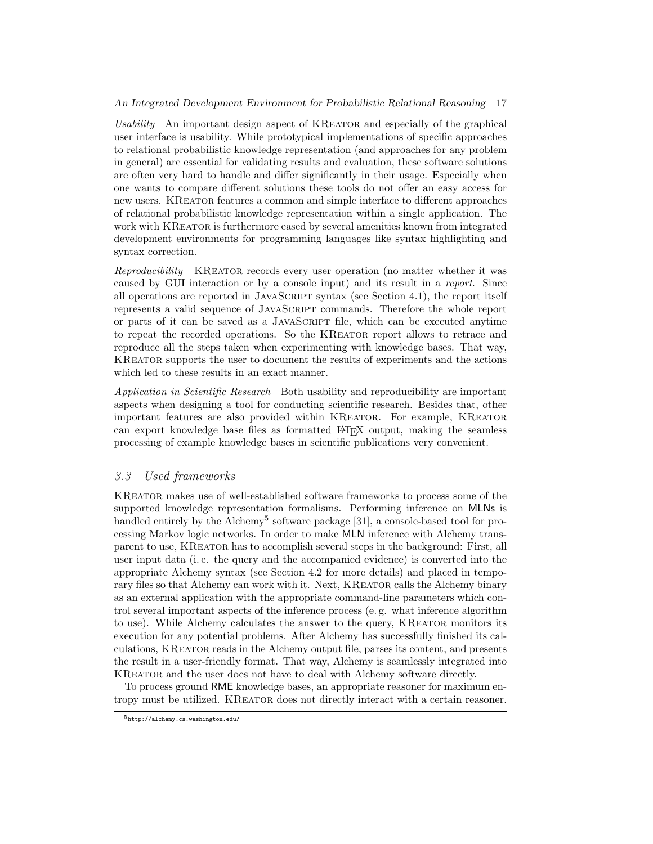Usability An important design aspect of  $KREATOR$  and especially of the graphical user interface is usability. While prototypical implementations of specific approaches to relational probabilistic knowledge representation (and approaches for any problem in general) are essential for validating results and evaluation, these software solutions are often very hard to handle and differ significantly in their usage. Especially when one wants to compare different solutions these tools do not offer an easy access for new users. KReator features a common and simple interface to different approaches of relational probabilistic knowledge representation within a single application. The work with KREATOR is furthermore eased by several amenities known from integrated development environments for programming languages like syntax highlighting and syntax correction.

Reproducibility KREATOR records every user operation (no matter whether it was caused by GUI interaction or by a console input) and its result in a report. Since all operations are reported in JavaScript syntax (see Section 4.1), the report itself represents a valid sequence of JavaScript commands. Therefore the whole report or parts of it can be saved as a JavaScript file, which can be executed anytime to repeat the recorded operations. So the KREATOR report allows to retrace and reproduce all the steps taken when experimenting with knowledge bases. That way, KReator supports the user to document the results of experiments and the actions which led to these results in an exact manner.

Application in Scientific Research Both usability and reproducibility are important aspects when designing a tool for conducting scientific research. Besides that, other important features are also provided within KREATOR. For example, KREATOR can export knowledge base files as formatted LATEX output, making the seamless processing of example knowledge bases in scientific publications very convenient.

# 3.3 Used frameworks

KReator makes use of well-established software frameworks to process some of the supported knowledge representation formalisms. Performing inference on MLNs is handled entirely by the Alchemy<sup>5</sup> software package [31], a console-based tool for processing Markov logic networks. In order to make MLN inference with Alchemy transparent to use, KREATOR has to accomplish several steps in the background: First, all user input data (i. e. the query and the accompanied evidence) is converted into the appropriate Alchemy syntax (see Section 4.2 for more details) and placed in temporary files so that Alchemy can work with it. Next, KREATOR calls the Alchemy binary as an external application with the appropriate command-line parameters which control several important aspects of the inference process (e. g. what inference algorithm to use). While Alchemy calculates the answer to the query, KREATOR monitors its execution for any potential problems. After Alchemy has successfully finished its calculations, KReator reads in the Alchemy output file, parses its content, and presents the result in a user-friendly format. That way, Alchemy is seamlessly integrated into KReator and the user does not have to deal with Alchemy software directly.

To process ground RME knowledge bases, an appropriate reasoner for maximum entropy must be utilized. KREATOR does not directly interact with a certain reasoner.

<sup>5</sup>http://alchemy.cs.washington.edu/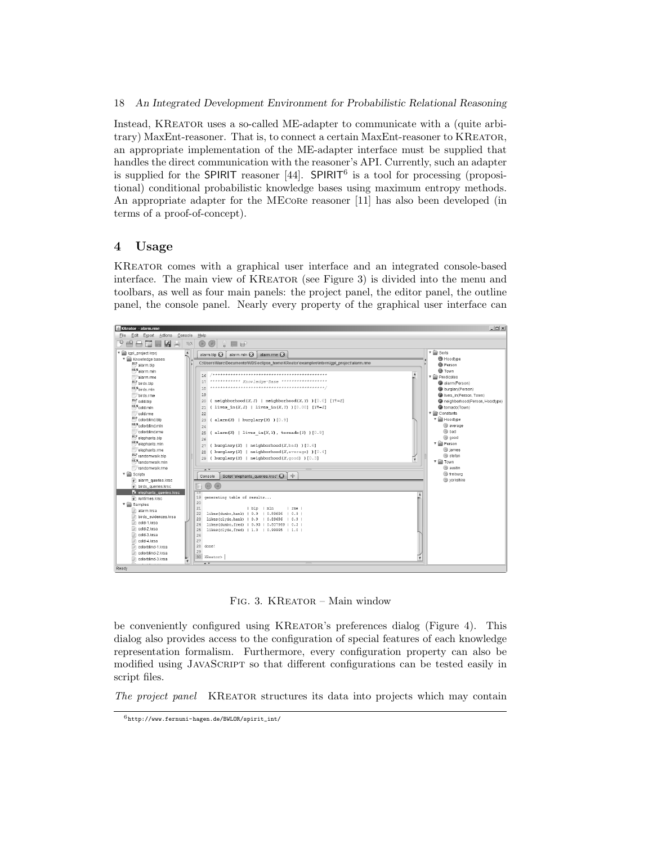Instead, KREATOR uses a so-called ME-adapter to communicate with a (quite arbitrary) MaxEnt-reasoner. That is, to connect a certain MaxEnt-reasoner to KREATOR, an appropriate implementation of the ME-adapter interface must be supplied that handles the direct communication with the reasoner's API. Currently, such an adapter is supplied for the SPIRIT reasoner  $[44]$ . SPIRIT<sup>6</sup> is a tool for processing (propositional) conditional probabilistic knowledge bases using maximum entropy methods. An appropriate adapter for the MEcore reasoner [11] has also been developed (in terms of a proof-of-concept).

# 4 Usage

KReator comes with a graphical user interface and an integrated console-based interface. The main view of KREATOR (see Figure 3) is divided into the menu and toolbars, as well as four main panels: the project panel, the editor panel, the outline panel, the console panel. Nearly every property of the graphical user interface can



FIG. 3. KREATOR – Main window

be conveniently configured using KREATOR's preferences dialog (Figure 4). This dialog also provides access to the configuration of special features of each knowledge representation formalism. Furthermore, every configuration property can also be modified using JavaScript so that different configurations can be tested easily in script files.

The project panel KREATOR structures its data into projects which may contain

 $6$ http://www.fernuni-hagen.de/BWLOR/spirit\_int/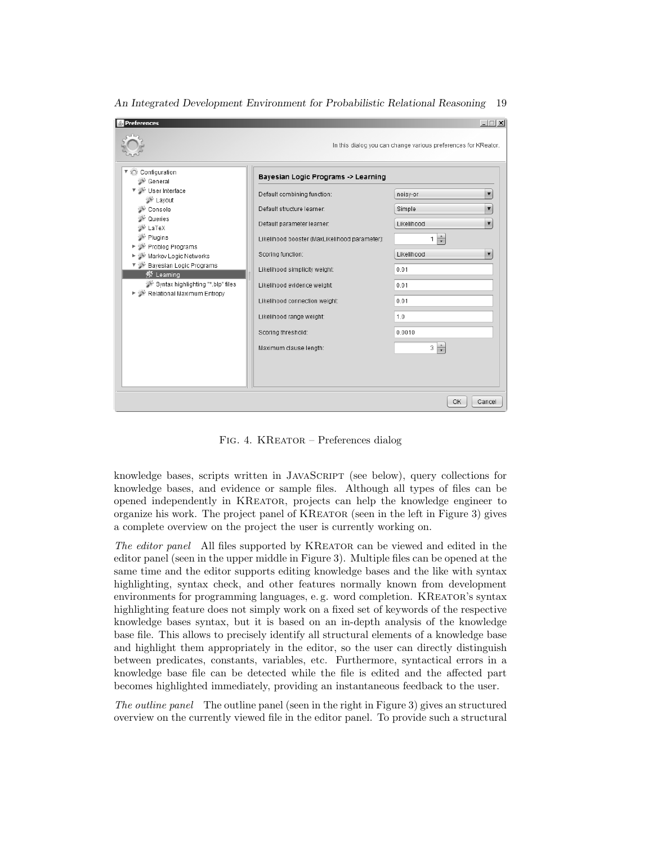|                                                                                                                                                                                                                                                                                       |                                                                                                                                                                                                                                                                                                                                                                                   | In this dialog you can change various preferences for KReator.                                                                       | $\Box$                                                                                                   |
|---------------------------------------------------------------------------------------------------------------------------------------------------------------------------------------------------------------------------------------------------------------------------------------|-----------------------------------------------------------------------------------------------------------------------------------------------------------------------------------------------------------------------------------------------------------------------------------------------------------------------------------------------------------------------------------|--------------------------------------------------------------------------------------------------------------------------------------|----------------------------------------------------------------------------------------------------------|
| ▼ Configuration<br>General<br>▼ Wer Interface<br>Layout<br>Console<br>Queries<br>∰ LaTeX<br>Plugins<br>Problog Programs<br>Þ<br>Markov Logic Networks<br>Þ<br>▼ ※ Bayesian Logic Programs<br><b>磬 Learning</b><br>Syntax highlighting "*.blp" files<br>▶ ※ Relational Maximum Entropy | Bayesian Logic Programs -> Learning<br>Default combining function:<br>Default structure learner:<br>Default parameter learner:<br>Likelihood booster (MaxLikelihood parameter):<br>Scoring function:<br>Likelihood simplicity weight:<br>Likelihood evidence weight:<br>Likelihood connection weight:<br>Likelihood range weight:<br>Scoring threshold:<br>Maximum clause length: | noisy-or<br>Simple<br>Likelihood<br>$1\left  \frac{1}{x} \right $<br>Likelihood<br>0.01<br>0.01<br>0.01<br>1.0<br>0.0010<br>$3 \div$ | $\overline{\mathbf{v}}$<br>$\overline{\mathbf{v}}$<br>$\overline{\mathbf{v}}$<br>$\overline{\mathbf{v}}$ |

FIG. 4. KREATOR – Preferences dialog

knowledge bases, scripts written in JavaScript (see below), query collections for knowledge bases, and evidence or sample files. Although all types of files can be opened independently in KReator, projects can help the knowledge engineer to organize his work. The project panel of KReator (seen in the left in Figure 3) gives a complete overview on the project the user is currently working on.

The editor panel All files supported by KREATOR can be viewed and edited in the editor panel (seen in the upper middle in Figure 3). Multiple files can be opened at the same time and the editor supports editing knowledge bases and the like with syntax highlighting, syntax check, and other features normally known from development environments for programming languages, e.g. word completion. KREATOR's syntax highlighting feature does not simply work on a fixed set of keywords of the respective knowledge bases syntax, but it is based on an in-depth analysis of the knowledge base file. This allows to precisely identify all structural elements of a knowledge base and highlight them appropriately in the editor, so the user can directly distinguish between predicates, constants, variables, etc. Furthermore, syntactical errors in a knowledge base file can be detected while the file is edited and the affected part becomes highlighted immediately, providing an instantaneous feedback to the user.

The outline panel The outline panel (seen in the right in Figure 3) gives an structured overview on the currently viewed file in the editor panel. To provide such a structural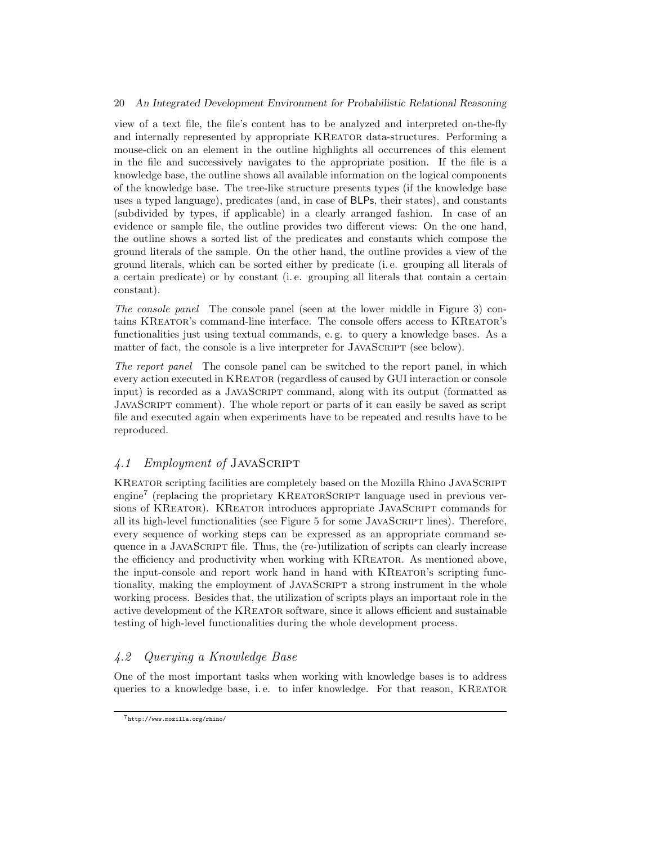view of a text file, the file's content has to be analyzed and interpreted on-the-fly and internally represented by appropriate KREATOR data-structures. Performing a mouse-click on an element in the outline highlights all occurrences of this element in the file and successively navigates to the appropriate position. If the file is a knowledge base, the outline shows all available information on the logical components of the knowledge base. The tree-like structure presents types (if the knowledge base uses a typed language), predicates (and, in case of BLPs, their states), and constants (subdivided by types, if applicable) in a clearly arranged fashion. In case of an evidence or sample file, the outline provides two different views: On the one hand, the outline shows a sorted list of the predicates and constants which compose the ground literals of the sample. On the other hand, the outline provides a view of the ground literals, which can be sorted either by predicate (i. e. grouping all literals of a certain predicate) or by constant (i. e. grouping all literals that contain a certain constant).

The console panel The console panel (seen at the lower middle in Figure 3) contains KREATOR's command-line interface. The console offers access to KREATOR's functionalities just using textual commands, e. g. to query a knowledge bases. As a matter of fact, the console is a live interpreter for JAVASCRIPT (see below).

The report panel The console panel can be switched to the report panel, in which every action executed in KREATOR (regardless of caused by GUI interaction or console input) is recorded as a JavaScript command, along with its output (formatted as JavaScript comment). The whole report or parts of it can easily be saved as script file and executed again when experiments have to be repeated and results have to be reproduced.

# 4.1 Employment of JAVASCRIPT

KREATOR scripting facilities are completely based on the Mozilla Rhino JAVASCRIPT engine<sup>7</sup> (replacing the proprietary KREATORSCRIPT language used in previous versions of KREATOR). KREATOR introduces appropriate JAVASCRIPT commands for all its high-level functionalities (see Figure 5 for some JAVASCRIPT lines). Therefore, every sequence of working steps can be expressed as an appropriate command sequence in a JavaScript file. Thus, the (re-)utilization of scripts can clearly increase the efficiency and productivity when working with KReator. As mentioned above, the input-console and report work hand in hand with KREATOR's scripting functionality, making the employment of JAVASCRIPT a strong instrument in the whole working process. Besides that, the utilization of scripts plays an important role in the active development of the KReator software, since it allows efficient and sustainable testing of high-level functionalities during the whole development process.

# 4.2 Querying a Knowledge Base

One of the most important tasks when working with knowledge bases is to address queries to a knowledge base, i.e. to infer knowledge. For that reason, KREATOR

<sup>7</sup>http://www.mozilla.org/rhino/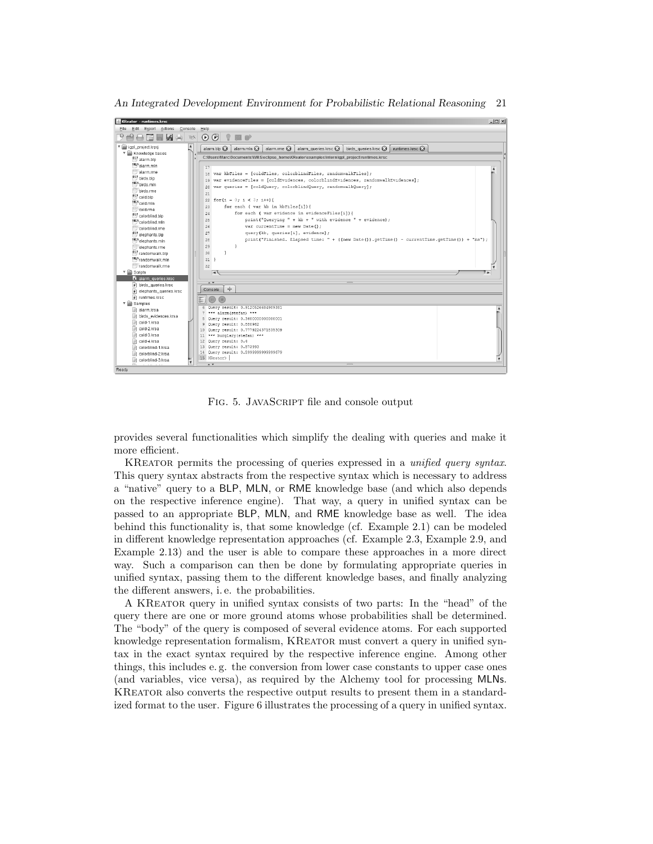An Integrated Development Environment for Probabilistic Relational Reasoning 21

| KReator - runtimes.krsc                   | 그만 지                                                                                                                  |  |
|-------------------------------------------|-----------------------------------------------------------------------------------------------------------------------|--|
| Edit Export<br>Actions<br>Console<br>File | Help                                                                                                                  |  |
| O<br>≃<br>M                               | $\odot$<br>$\odot$<br>TEX                                                                                             |  |
| A<br>▼ gpl_project.krprj                  | alarm.rme @   alarm_queries.krsc @   birds_queries.krsc @   runtimes.krsc @<br>alarm.mln $\odot$<br>alarm.blp $\odot$ |  |
| ▼ Anowledge bases                         | C:\Users\Marc\Documents\WBS\eclipse_home\KReator\examples\intern\igpl_project\runtimes.krsc                           |  |
| BLP alarm.blp                             |                                                                                                                       |  |
| MLN <sub>alarm.mln</sub>                  | 17                                                                                                                    |  |
| alarm rme                                 | 18 var kbFiles = [coldFiles, colorblindFiles, randomwalkFiles];                                                       |  |
| BLP birds.blp                             | 19 var evidenceFiles = [coldEvidences, colorblindEvidences, randomwalkEvidences];                                     |  |
| MLN <sub>birds.min</sub>                  | 20 var queries = [coldOuerv, colorblindOuerv, randomwalkOuerv];                                                       |  |
| birds.rme<br>BLP cold.blp                 | 21                                                                                                                    |  |
| MLN <sub>cold.min</sub>                   | 22 for(i = 0; i < 3; i++) {                                                                                           |  |
| cold.rme                                  | for each ( var kb in kbFiles[i]) {<br>23                                                                              |  |
| BLP colorblind.blp                        | for each ( var evidence in evidenceFiles[i]) {<br>24                                                                  |  |
| MEN <sub>colorblind.min</sub>             | print ("Querying " + kb + " with evidence " + evidence);<br>25                                                        |  |
| colorblind.rme                            | $var$ currentTime = new Date() :<br>26                                                                                |  |
| elephants.blp                             | query(kb, queries[i], evidence);<br>27                                                                                |  |
| MEN elephants.min                         | print("Finished. Elapsed time: " + ((new Date()).getTime() - currentTime.getTime()) + "ms");<br>28                    |  |
| elephants.rme                             | 29                                                                                                                    |  |
| BLP randomwalk.blp                        | 30                                                                                                                    |  |
| MEN <sub>randomwalk.mln</sub>             | $31 \quad$                                                                                                            |  |
| Tandomwalk.rme                            | 32                                                                                                                    |  |
| $\Psi$ Scripts                            | $\rightarrow$                                                                                                         |  |
| alarm_queries.krsc                        |                                                                                                                       |  |
| birds_queries.krsc                        | $\overline{A}$                                                                                                        |  |
| elephants queries.krsc                    | $\Rightarrow$<br>Console                                                                                              |  |
| Tuntimes.krsc                             |                                                                                                                       |  |
| $\Psi \equiv$ Samples                     | 6 Ouerv result: 0.9120526684909381                                                                                    |  |
| alarm.krsa                                | *** alarm(stefan) ***                                                                                                 |  |
| birds evidences.krsa                      | 8 Query result: 0.3600000000000001                                                                                    |  |
| cold-1.krsa<br>lэh                        | 9 Ouerv result: 0.880962                                                                                              |  |
| cold-2.krsa                               | 10 Query result: 0.7779224371835309                                                                                   |  |
| cold-3.krsa                               | 11 *** burglary(stefan) ***                                                                                           |  |
| cold-4 krsa                               | 12 Ouerv result: 0.4<br>13 Query result: 0.573993                                                                     |  |
| colorblind-1.krsa<br>colorblind-2 krsa    | 14 Query result: 0.5999999999999679                                                                                   |  |
|                                           | 15 KReator>                                                                                                           |  |
| colorblind-3.krsa                         |                                                                                                                       |  |
| Ready                                     |                                                                                                                       |  |

FIG. 5. JAVASCRIPT file and console output

provides several functionalities which simplify the dealing with queries and make it more efficient.

KREATOR permits the processing of queries expressed in a unified query syntax. This query syntax abstracts from the respective syntax which is necessary to address a "native" query to a BLP, MLN, or RME knowledge base (and which also depends on the respective inference engine). That way, a query in unified syntax can be passed to an appropriate BLP, MLN, and RME knowledge base as well. The idea behind this functionality is, that some knowledge (cf. Example 2.1) can be modeled in different knowledge representation approaches (cf. Example 2.3, Example 2.9, and Example 2.13) and the user is able to compare these approaches in a more direct way. Such a comparison can then be done by formulating appropriate queries in unified syntax, passing them to the different knowledge bases, and finally analyzing the different answers, i. e. the probabilities.

A KReator query in unified syntax consists of two parts: In the "head" of the query there are one or more ground atoms whose probabilities shall be determined. The "body" of the query is composed of several evidence atoms. For each supported knowledge representation formalism, KREATOR must convert a query in unified syntax in the exact syntax required by the respective inference engine. Among other things, this includes e. g. the conversion from lower case constants to upper case ones (and variables, vice versa), as required by the Alchemy tool for processing MLNs. KREATOR also converts the respective output results to present them in a standardized format to the user. Figure 6 illustrates the processing of a query in unified syntax.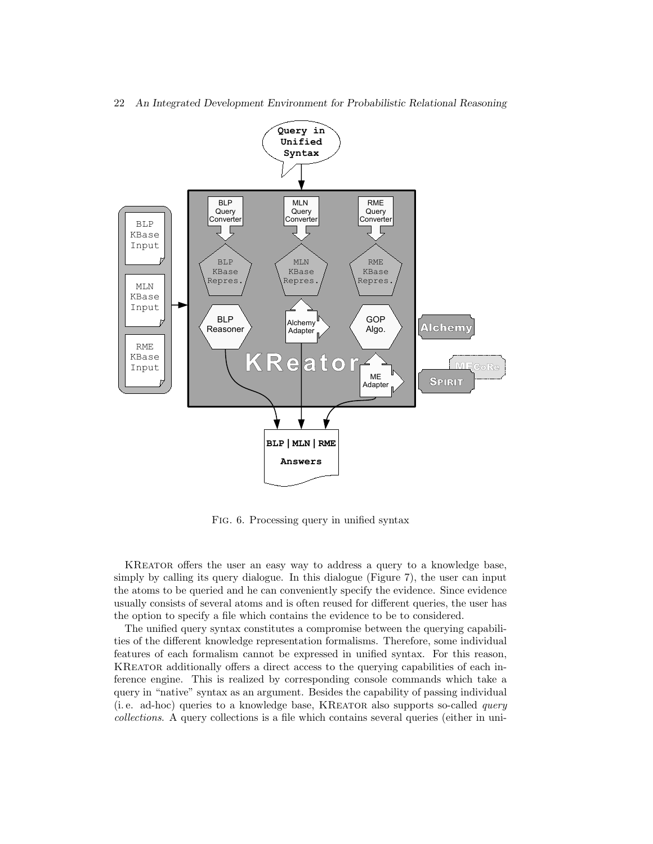

22 An Integrated Development Environment for Probabilistic Relational Reasoning

Fig. 6. Processing query in unified syntax

KREATOR offers the user an easy way to address a query to a knowledge base, simply by calling its query dialogue. In this dialogue (Figure 7), the user can input the atoms to be queried and he can conveniently specify the evidence. Since evidence usually consists of several atoms and is often reused for different queries, the user has the option to specify a file which contains the evidence to be to considered.

The unified query syntax constitutes a compromise between the querying capabilities of the different knowledge representation formalisms. Therefore, some individual features of each formalism cannot be expressed in unified syntax. For this reason, KReator additionally offers a direct access to the querying capabilities of each inference engine. This is realized by corresponding console commands which take a query in "native" syntax as an argument. Besides the capability of passing individual (i.e. ad-hoc) queries to a knowledge base, KREATOR also supports so-called *query* collections. A query collections is a file which contains several queries (either in uni-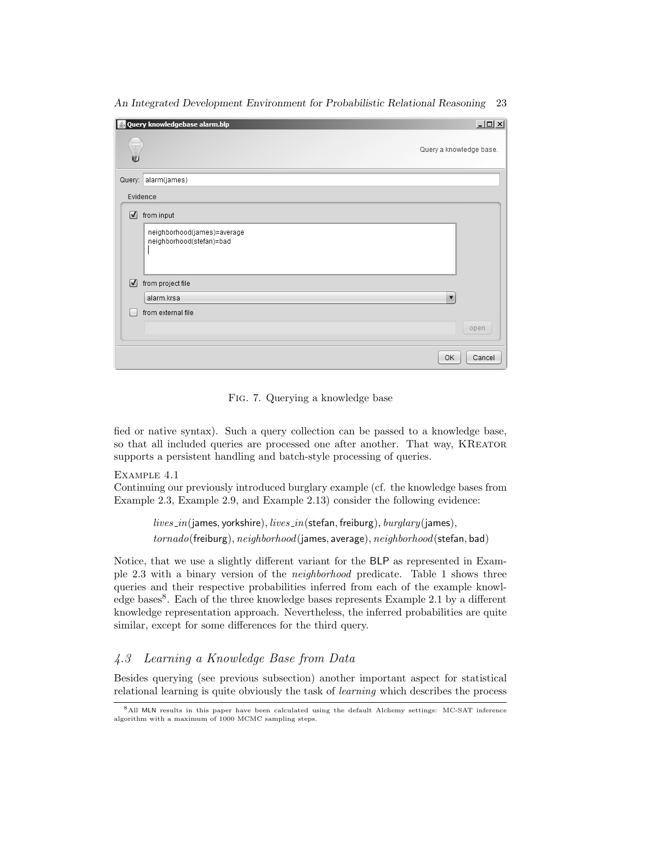An Integrated Development Environment for Probabilistic Relational Reasoning 23

| Query knowledgebase alarm.blp                           | $\Box$                  |
|---------------------------------------------------------|-------------------------|
| li fi                                                   | Query a knowledge base. |
| Query: alarm(james)                                     |                         |
| Evidence                                                |                         |
| $\mathcal{N}$<br>from input                             |                         |
| neighborhood(james)=average<br>neighborhood(stefan)=bad |                         |
| $\sqrt{ }$<br>from project file                         |                         |
| alarm.krsa                                              | $\blacktriangledown$    |
| from external file                                      |                         |
|                                                         | open                    |
|                                                         | OK<br>Cancel            |

Fig. 7. Querying a knowledge base

fied or native syntax). Such a query collection can be passed to a knowledge base, so that all included queries are processed one after another. That way, KREATOR supports a persistent handling and batch-style processing of queries.

### Example 4.1

Continuing our previously introduced burglary example (cf. the knowledge bases from Example 2.3, Example 2.9, and Example 2.13) consider the following evidence:

 $lives\_in(james, yorkshire), lives\_in(stefan, freight, burglary(james),$ tornado(freiburg), neighborhood(james, average), neighborhood(stefan, bad)

Notice, that we use a slightly different variant for the BLP as represented in Example 2.3 with a binary version of the neighborhood predicate. Table 1 shows three queries and their respective probabilities inferred from each of the example knowledge bases<sup>8</sup>. Each of the three knowledge bases represents Example 2.1 by a different knowledge representation approach. Nevertheless, the inferred probabilities are quite similar, except for some differences for the third query.

# 4.3 Learning a Knowledge Base from Data

Besides querying (see previous subsection) another important aspect for statistical relational learning is quite obviously the task of learning which describes the process

<sup>8</sup>All MLN results in this paper have been calculated using the default Alchemy settings: MC-SAT inference algorithm with a maximum of 1000 MCMC sampling steps.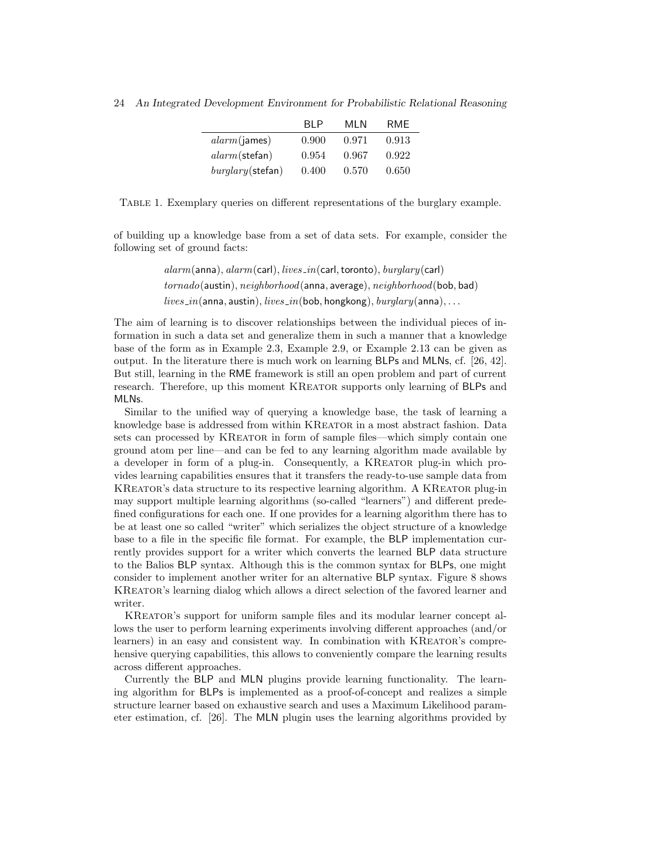24 An Integrated Development Environment for Probabilistic Relational Reasoning

|                             | RI P  | MI N  | RMF   |
|-----------------------------|-------|-------|-------|
| $alarm$ (james)             | 0.900 | 0.971 | 0.913 |
| $alarm(\mathsf{stefan})$    | 0.954 | 0.967 | 0.922 |
| $burglary(\mathsf{stefan})$ | 0.400 | 0.570 | 0.650 |

Table 1. Exemplary queries on different representations of the burglary example.

of building up a knowledge base from a set of data sets. For example, consider the following set of ground facts:

> $alarm(anna), alarm(carl), lives_in(carl,toronto), burglary(carl)$ tornado(austin), neighborhood(anna, average), neighborhood(bob, bad)  $lives_in(anna, austin), lives_in(bob, hongkong), burglary(anna),...$

The aim of learning is to discover relationships between the individual pieces of information in such a data set and generalize them in such a manner that a knowledge base of the form as in Example 2.3, Example 2.9, or Example 2.13 can be given as output. In the literature there is much work on learning BLPs and MLNs, cf. [26, 42]. But still, learning in the RME framework is still an open problem and part of current research. Therefore, up this moment KREATOR supports only learning of BLPs and MLNs.

Similar to the unified way of querying a knowledge base, the task of learning a knowledge base is addressed from within KREATOR in a most abstract fashion. Data sets can processed by KREATOR in form of sample files—which simply contain one ground atom per line—and can be fed to any learning algorithm made available by a developer in form of a plug-in. Consequently, a KReator plug-in which provides learning capabilities ensures that it transfers the ready-to-use sample data from KREATOR's data structure to its respective learning algorithm. A KREATOR plug-in may support multiple learning algorithms (so-called "learners") and different predefined configurations for each one. If one provides for a learning algorithm there has to be at least one so called "writer" which serializes the object structure of a knowledge base to a file in the specific file format. For example, the BLP implementation currently provides support for a writer which converts the learned BLP data structure to the Balios BLP syntax. Although this is the common syntax for BLPs, one might consider to implement another writer for an alternative BLP syntax. Figure 8 shows KReator's learning dialog which allows a direct selection of the favored learner and writer.

KReator's support for uniform sample files and its modular learner concept allows the user to perform learning experiments involving different approaches (and/or learners) in an easy and consistent way. In combination with KREATOR's comprehensive querying capabilities, this allows to conveniently compare the learning results across different approaches.

Currently the BLP and MLN plugins provide learning functionality. The learning algorithm for BLPs is implemented as a proof-of-concept and realizes a simple structure learner based on exhaustive search and uses a Maximum Likelihood parameter estimation, cf. [26]. The MLN plugin uses the learning algorithms provided by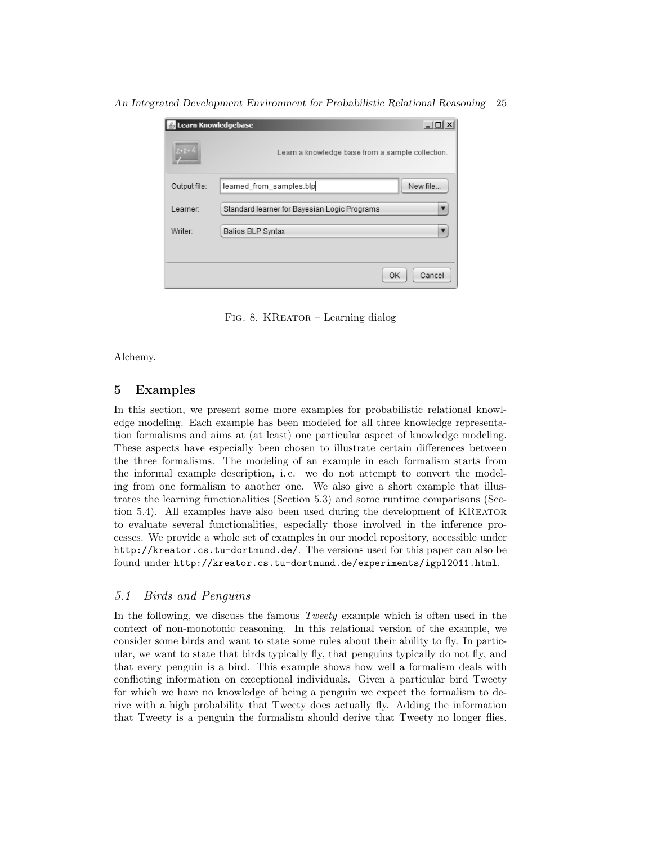An Integrated Development Environment for Probabilistic Relational Reasoning 25

| Learn Knowledgebase | $-1$                                             |
|---------------------|--------------------------------------------------|
| $2 + 2 = 4$         | Learn a knowledge base from a sample collection. |
| Output file:        | learned_from_samples.blp<br>New file             |
| Learner:            | Standard learner for Bayesian Logic Programs     |
| Writer:             | Balios BLP Syntax                                |
|                     |                                                  |
|                     | OK<br>Cancel                                     |

FIG. 8. KREATOR – Learning dialog

Alchemy.

# 5 Examples

In this section, we present some more examples for probabilistic relational knowledge modeling. Each example has been modeled for all three knowledge representation formalisms and aims at (at least) one particular aspect of knowledge modeling. These aspects have especially been chosen to illustrate certain differences between the three formalisms. The modeling of an example in each formalism starts from the informal example description, i. e. we do not attempt to convert the modeling from one formalism to another one. We also give a short example that illustrates the learning functionalities (Section 5.3) and some runtime comparisons (Section 5.4). All examples have also been used during the development of KREATOR to evaluate several functionalities, especially those involved in the inference processes. We provide a whole set of examples in our model repository, accessible under http://kreator.cs.tu-dortmund.de/. The versions used for this paper can also be found under http://kreator.cs.tu-dortmund.de/experiments/igpl2011.html.

# 5.1 Birds and Penguins

In the following, we discuss the famous Tweety example which is often used in the context of non-monotonic reasoning. In this relational version of the example, we consider some birds and want to state some rules about their ability to fly. In particular, we want to state that birds typically fly, that penguins typically do not fly, and that every penguin is a bird. This example shows how well a formalism deals with conflicting information on exceptional individuals. Given a particular bird Tweety for which we have no knowledge of being a penguin we expect the formalism to derive with a high probability that Tweety does actually fly. Adding the information that Tweety is a penguin the formalism should derive that Tweety no longer flies.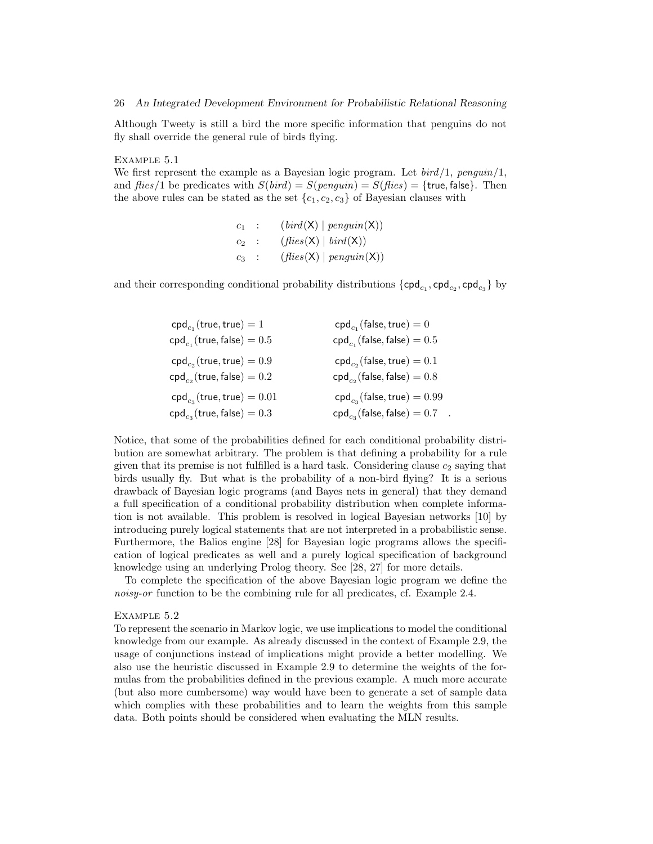Although Tweety is still a bird the more specific information that penguins do not fly shall override the general rule of birds flying.

#### Example 5.1

We first represent the example as a Bayesian logic program. Let  $bird/1$ ,  $penguin/1$ , and flies/1 be predicates with  $S(bird) = S(penguin) = S(flies) = {true, false}.$  Then the above rules can be stated as the set  ${c_1, c_2, c_3}$  of Bayesian clauses with

> $c_1$  :  $\left(\text{bird}(\mathsf{X}) \mid \text{penguin}(\mathsf{X})\right)$  $c_2$  :  $(flies(X) | bird(X))$  $c_3$  :  $(flies(X) | penguin(X))$

and their corresponding conditional probability distributions  $\{\text{cpd}_{c_1}, \text{cpd}_{c_2}, \text{cpd}_{c_3}\}\$  by

| $\mathsf{cpd}_{c_1}(\mathsf{true},\mathsf{true})=1$    | $\mathsf{cpd}_{c_1}(\mathsf{false},\mathsf{true})=0$        |
|--------------------------------------------------------|-------------------------------------------------------------|
| $\mathsf{cpd}_{c_1}(\mathsf{true},\mathsf{false})=0.5$ | $\mathsf{cpd}_{c_1}(\mathsf{false},\mathsf{false})=0.5$     |
| $\mathsf{cpd}_{c_2}(\mathsf{true},\mathsf{true})=0.9$  | $\mathsf{cpd}_{c_2}(\mathsf{false},\mathsf{true})=0.1$      |
| $\mathsf{cpd}_{c_2}(\mathsf{true},\mathsf{false})=0.2$ | $\mathsf{cpd}_{c_2}(\mathsf{false},\mathsf{false})=0.8$     |
| $\text{cpd}_{c_3}(\text{true},\text{true})=0.01$       | $\mathsf{cpd}_{c_3}(\mathsf{false},\mathsf{true})=0.99$     |
| $\mathsf{cpd}_{c_3}(\mathsf{true},\mathsf{false})=0.3$ | $\mathsf{cpd}_{c_3}(\mathsf{false},\mathsf{false}) = 0.7$ . |

Notice, that some of the probabilities defined for each conditional probability distribution are somewhat arbitrary. The problem is that defining a probability for a rule given that its premise is not fulfilled is a hard task. Considering clause  $c_2$  saying that birds usually fly. But what is the probability of a non-bird flying? It is a serious drawback of Bayesian logic programs (and Bayes nets in general) that they demand a full specification of a conditional probability distribution when complete information is not available. This problem is resolved in logical Bayesian networks [10] by introducing purely logical statements that are not interpreted in a probabilistic sense. Furthermore, the Balios engine [28] for Bayesian logic programs allows the specification of logical predicates as well and a purely logical specification of background knowledge using an underlying Prolog theory. See [28, 27] for more details.

To complete the specification of the above Bayesian logic program we define the noisy-or function to be the combining rule for all predicates, cf. Example 2.4.

### Example 5.2

To represent the scenario in Markov logic, we use implications to model the conditional knowledge from our example. As already discussed in the context of Example 2.9, the usage of conjunctions instead of implications might provide a better modelling. We also use the heuristic discussed in Example 2.9 to determine the weights of the formulas from the probabilities defined in the previous example. A much more accurate (but also more cumbersome) way would have been to generate a set of sample data which complies with these probabilities and to learn the weights from this sample data. Both points should be considered when evaluating the MLN results.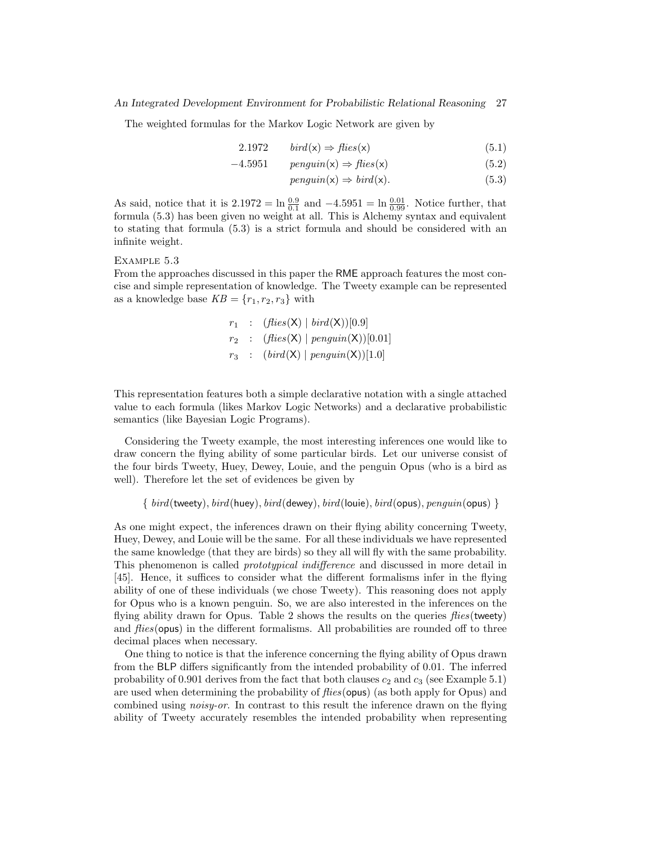The weighted formulas for the Markov Logic Network are given by

$$
2.1972 \quad \text{bird}(\mathsf{x}) \Rightarrow \text{flies}(\mathsf{x}) \tag{5.1}
$$

$$
-4.5951 \quad penguin(x) \Rightarrow flies(x) \tag{5.2}
$$

$$
penguin(x) \Rightarrow bird(x). \tag{5.3}
$$

As said, notice that it is  $2.1972 = \ln \frac{0.9}{0.1}$  and  $-4.5951 = \ln \frac{0.01}{0.99}$ . Notice further, that formula (5.3) has been given no weight at all. This is Alchemy syntax and equivalent to stating that formula (5.3) is a strict formula and should be considered with an infinite weight.

#### Example 5.3

From the approaches discussed in this paper the RME approach features the most concise and simple representation of knowledge. The Tweety example can be represented as a knowledge base  $KB = \{r_1, r_2, r_3\}$  with

$$
r_1 : (fies(X) | bird(X))[0.9]
$$
  

$$
r_2 : (fies(X) | penguin(X))[0.01]
$$
  

$$
r_3 : (bird(X) | penguin(X))[1.0]
$$

This representation features both a simple declarative notation with a single attached value to each formula (likes Markov Logic Networks) and a declarative probabilistic semantics (like Bayesian Logic Programs).

Considering the Tweety example, the most interesting inferences one would like to draw concern the flying ability of some particular birds. Let our universe consist of the four birds Tweety, Huey, Dewey, Louie, and the penguin Opus (who is a bird as well). Therefore let the set of evidences be given by

```
\{~bird(tweety), bird(huey), bird(dewey), bird(louie), bird(opus), penguin(opus))
```
As one might expect, the inferences drawn on their flying ability concerning Tweety, Huey, Dewey, and Louie will be the same. For all these individuals we have represented the same knowledge (that they are birds) so they all will fly with the same probability. This phenomenon is called prototypical indifference and discussed in more detail in [45]. Hence, it suffices to consider what the different formalisms infer in the flying ability of one of these individuals (we chose Tweety). This reasoning does not apply for Opus who is a known penguin. So, we are also interested in the inferences on the flying ability drawn for Opus. Table 2 shows the results on the queries  $flies$  (tweety) and  $flies(opus)$  in the different formalisms. All probabilities are rounded off to three decimal places when necessary.

One thing to notice is that the inference concerning the flying ability of Opus drawn from the BLP differs significantly from the intended probability of 0.01. The inferred probability of 0.901 derives from the fact that both clauses  $c_2$  and  $c_3$  (see Example 5.1) are used when determining the probability of flies(opus) (as both apply for Opus) and combined using *noisy-or*. In contrast to this result the inference drawn on the flying ability of Tweety accurately resembles the intended probability when representing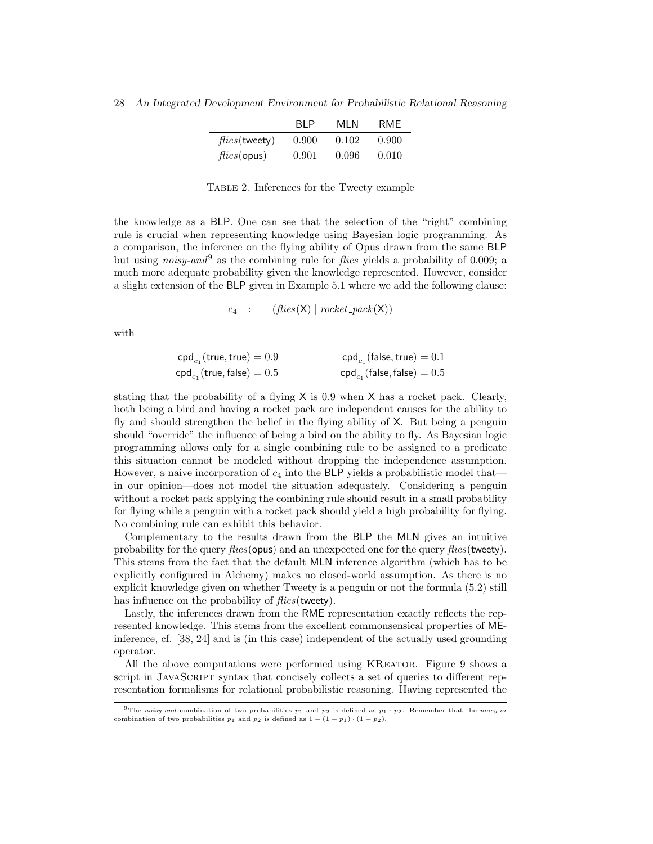28 An Integrated Development Environment for Probabilistic Relational Reasoning

|                  | RI P  | MI N  | RMF   |
|------------------|-------|-------|-------|
| $flies$ (tweety) | 0.900 | 0.102 | 0.900 |
| flies(opus)      | 0.901 | 0.096 | 0.010 |

Table 2. Inferences for the Tweety example

the knowledge as a BLP. One can see that the selection of the "right" combining rule is crucial when representing knowledge using Bayesian logic programming. As a comparison, the inference on the flying ability of Opus drawn from the same BLP but using *noisy-and*<sup>9</sup> as the combining rule for *flies* yields a probability of 0.009; a much more adequate probability given the knowledge represented. However, consider a slight extension of the BLP given in Example 5.1 where we add the following clause:

$$
c_4 : (flies(X) | rocket\_pack(X))
$$

with

| $\mathsf{cpd}_{c_1}(\mathsf{true},\mathsf{true})=0.9$  | $\mathsf{cpd}_{c_1}(\mathsf{false},\mathsf{true})=0.1$  |
|--------------------------------------------------------|---------------------------------------------------------|
| $\mathsf{cpd}_{c_1}(\mathsf{true},\mathsf{false})=0.5$ | $\mathsf{cpd}_{c_1}(\mathsf{false},\mathsf{false})=0.5$ |

stating that the probability of a flying  $X$  is 0.9 when  $X$  has a rocket pack. Clearly, both being a bird and having a rocket pack are independent causes for the ability to fly and should strengthen the belief in the flying ability of X. But being a penguin should "override" the influence of being a bird on the ability to fly. As Bayesian logic programming allows only for a single combining rule to be assigned to a predicate this situation cannot be modeled without dropping the independence assumption. However, a naive incorporation of  $c_4$  into the BLP yields a probabilistic model that in our opinion—does not model the situation adequately. Considering a penguin without a rocket pack applying the combining rule should result in a small probability for flying while a penguin with a rocket pack should yield a high probability for flying. No combining rule can exhibit this behavior.

Complementary to the results drawn from the BLP the MLN gives an intuitive probability for the query flies(opus) and an unexpected one for the query flies(tweety). This stems from the fact that the default MLN inference algorithm (which has to be explicitly configured in Alchemy) makes no closed-world assumption. As there is no explicit knowledge given on whether Tweety is a penguin or not the formula (5.2) still has influence on the probability of *flies*(tweety).

Lastly, the inferences drawn from the RME representation exactly reflects the represented knowledge. This stems from the excellent commonsensical properties of MEinference, cf. [38, 24] and is (in this case) independent of the actually used grounding operator.

All the above computations were performed using KReator. Figure 9 shows a script in JAVASCRIPT syntax that concisely collects a set of queries to different representation formalisms for relational probabilistic reasoning. Having represented the

<sup>&</sup>lt;sup>9</sup>The noisy-and combination of two probabilities  $p_1$  and  $p_2$  is defined as  $p_1 \cdot p_2$ . Remember that the noisy-or combination of two probabilities  $p_1$  and  $p_2$  is defined as  $1 - (1 - p_1) \cdot (1 - p_2)$ .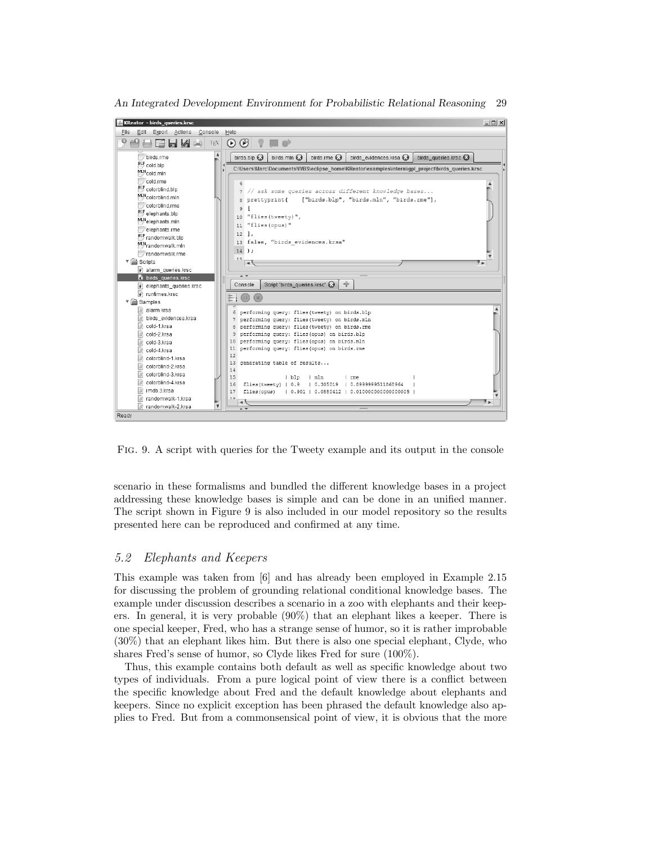An Integrated Development Environment for Probabilistic Relational Reasoning 29



Fig. 9. A script with queries for the Tweety example and its output in the console

scenario in these formalisms and bundled the different knowledge bases in a project addressing these knowledge bases is simple and can be done in an unified manner. The script shown in Figure 9 is also included in our model repository so the results presented here can be reproduced and confirmed at any time.

# 5.2 Elephants and Keepers

This example was taken from [6] and has already been employed in Example 2.15 for discussing the problem of grounding relational conditional knowledge bases. The example under discussion describes a scenario in a zoo with elephants and their keepers. In general, it is very probable (90%) that an elephant likes a keeper. There is one special keeper, Fred, who has a strange sense of humor, so it is rather improbable (30%) that an elephant likes him. But there is also one special elephant, Clyde, who shares Fred's sense of humor, so Clyde likes Fred for sure (100%).

Thus, this example contains both default as well as specific knowledge about two types of individuals. From a pure logical point of view there is a conflict between the specific knowledge about Fred and the default knowledge about elephants and keepers. Since no explicit exception has been phrased the default knowledge also applies to Fred. But from a commonsensical point of view, it is obvious that the more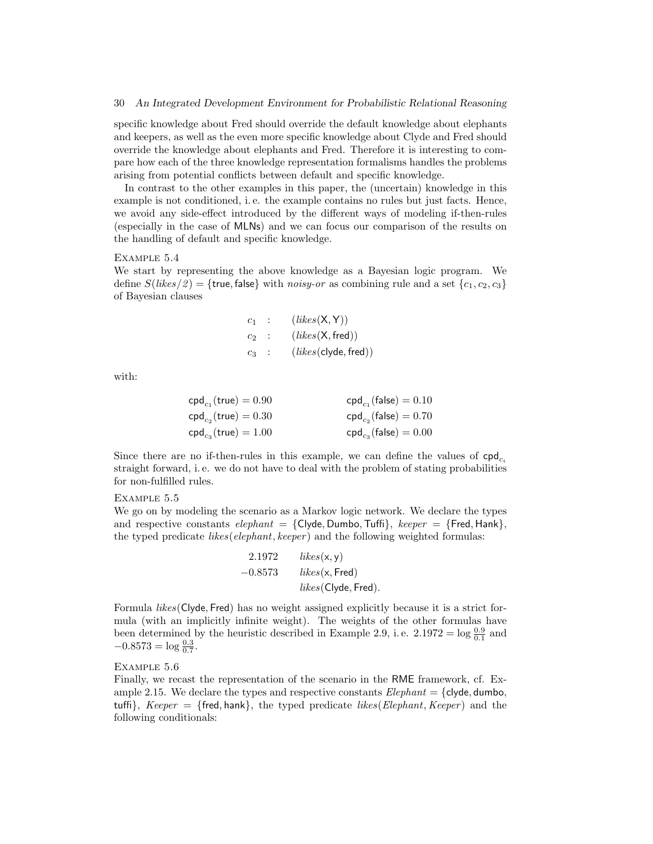specific knowledge about Fred should override the default knowledge about elephants and keepers, as well as the even more specific knowledge about Clyde and Fred should override the knowledge about elephants and Fred. Therefore it is interesting to compare how each of the three knowledge representation formalisms handles the problems arising from potential conflicts between default and specific knowledge.

In contrast to the other examples in this paper, the (uncertain) knowledge in this example is not conditioned, i. e. the example contains no rules but just facts. Hence, we avoid any side-effect introduced by the different ways of modeling if-then-rules (especially in the case of MLNs) and we can focus our comparison of the results on the handling of default and specific knowledge.

#### Example 5.4

We start by representing the above knowledge as a Bayesian logic program. We define  $S(likes/2) = {true, false}$  with noisy-or as combining rule and a set  ${c_1, c_2, c_3}$ of Bayesian clauses

$$
c_1 : (likes(X, Y))
$$
  
\n
$$
c_2 : (likes(X, freq))
$$
  
\n
$$
c_3 : (likes(clyde, freq))
$$

with:

| ${\sf cpd}_{c_1}({\sf true}) = 0.90$       | ${\sf cpd}_{c_1}({\sf false}) = 0.10$       |
|--------------------------------------------|---------------------------------------------|
| ${\sf cpd}_{c_2}({\sf true}) = 0.30$       | $cpd_{c2}(false) = 0.70$                    |
| $\mathsf{cpd}_{c_3}(\mathsf{true}) = 1.00$ | $\mathsf{cpd}_{c_3}(\mathsf{false}) = 0.00$ |

Since there are no if-then-rules in this example, we can define the values of  $cpd_{ci}$ straight forward, i. e. we do not have to deal with the problem of stating probabilities for non-fulfilled rules.

### Example 5.5

We go on by modeling the scenario as a Markov logic network. We declare the types and respective constants  $elephant = \{Clyde, Dumbo, Tuffi\}, \ keeper = \{Fred, Hank\},\$ the typed predicate *likes*(*elephant*, *keeper*) and the following weighted formulas:

$$
2.1972 \t likes(x, y)
$$
  
-0.8573 \t *likes*(x, Fred)  
*likes*(Clyde, Fred).

Formula likes(Clyde, Fred) has no weight assigned explicitly because it is a strict formula (with an implicitly infinite weight). The weights of the other formulas have been determined by the heuristic described in Example 2.9, i.e.  $2.1972 = \log \frac{0.9}{0.1}$  and  $-0.8573 = \log \frac{0.3}{0.7}.$ 

### Example 5.6

Finally, we recast the representation of the scenario in the RME framework, cf. Example 2.15. We declare the types and respective constants  $Elephant = \{clyde, dumbo,$ tuffi},  $Keeper = {fred, hank}$ , the typed predicate  $likes(Elephant, Keeper)$  and the following conditionals: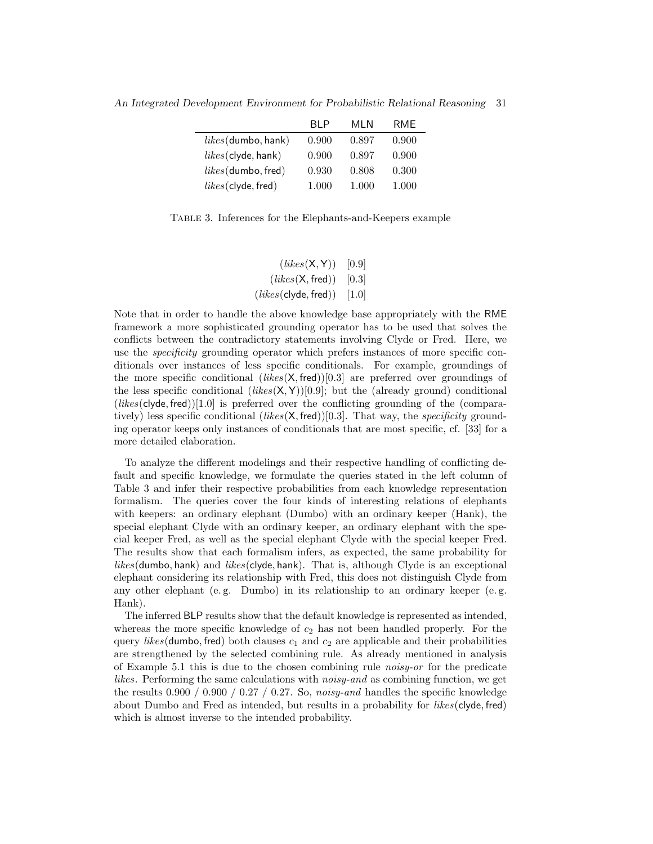An Integrated Development Environment for Probabilistic Relational Reasoning 31

|                       | RI P  | MI N  | RME   |
|-----------------------|-------|-------|-------|
| $likes$ (dumbo, hank) | 0.900 | 0.897 | 0.900 |
| $likes$ (clyde, hank) | 0.900 | 0.897 | 0.900 |
| $likes$ (dumbo, fred) | 0.930 | 0.808 | 0.300 |
| $likes$ (clyde, fred) | 1.000 | 1.000 | 1.000 |

Table 3. Inferences for the Elephants-and-Keepers example

| (likes(X, Y))           | [0.9]              |
|-------------------------|--------------------|
| (likes(X, freq))        | 0.3                |
| $(likes$ (clyde, fred)) | $\left[1.0\right]$ |

Note that in order to handle the above knowledge base appropriately with the RME framework a more sophisticated grounding operator has to be used that solves the conflicts between the contradictory statements involving Clyde or Fred. Here, we use the specificity grounding operator which prefers instances of more specific conditionals over instances of less specific conditionals. For example, groundings of the more specific conditional  $(likes(X, freq))[0.3]$  are preferred over groundings of the less specific conditional (likes( $(X, Y)$ )[0.9]; but the (already ground) conditional  $(likes(clyde, freq))[1.0]$  is preferred over the conflicting grounding of the (comparatively) less specific conditional (*likes*( $X$ , fred))[0.3]. That way, the *specificity* grounding operator keeps only instances of conditionals that are most specific, cf. [33] for a more detailed elaboration.

To analyze the different modelings and their respective handling of conflicting default and specific knowledge, we formulate the queries stated in the left column of Table 3 and infer their respective probabilities from each knowledge representation formalism. The queries cover the four kinds of interesting relations of elephants with keepers: an ordinary elephant (Dumbo) with an ordinary keeper (Hank), the special elephant Clyde with an ordinary keeper, an ordinary elephant with the special keeper Fred, as well as the special elephant Clyde with the special keeper Fred. The results show that each formalism infers, as expected, the same probability for  $likes$ (dumbo, hank) and *likes*(clyde, hank). That is, although Clyde is an exceptional elephant considering its relationship with Fred, this does not distinguish Clyde from any other elephant (e.g. Dumbo) in its relationship to an ordinary keeper (e.g. Hank).

The inferred BLP results show that the default knowledge is represented as intended, whereas the more specific knowledge of  $c_2$  has not been handled properly. For the query likes(dumbo, fred) both clauses  $c_1$  and  $c_2$  are applicable and their probabilities are strengthened by the selected combining rule. As already mentioned in analysis of Example 5.1 this is due to the chosen combining rule noisy-or for the predicate likes. Performing the same calculations with noisy-and as combining function, we get the results  $0.900 / 0.900 / 0.27 / 0.27$ . So, noisy-and handles the specific knowledge about Dumbo and Fred as intended, but results in a probability for likes(clyde, fred) which is almost inverse to the intended probability.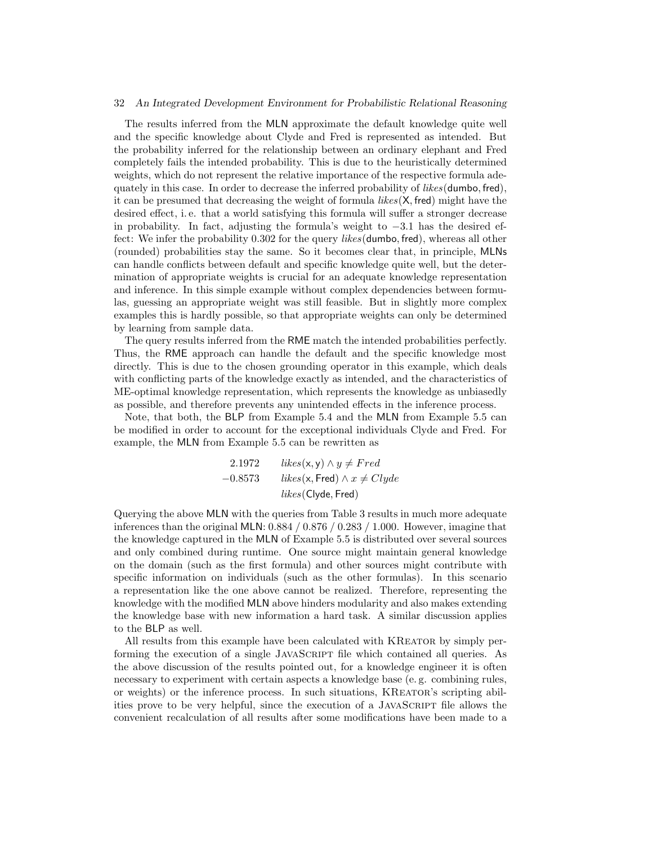The results inferred from the MLN approximate the default knowledge quite well and the specific knowledge about Clyde and Fred is represented as intended. But the probability inferred for the relationship between an ordinary elephant and Fred completely fails the intended probability. This is due to the heuristically determined weights, which do not represent the relative importance of the respective formula adequately in this case. In order to decrease the inferred probability of *likes*(dumbo, fred), it can be presumed that decreasing the weight of formula likes(X, fred) might have the desired effect, i. e. that a world satisfying this formula will suffer a stronger decrease in probability. In fact, adjusting the formula's weight to −3.1 has the desired effect: We infer the probability 0.302 for the query likes(dumbo, fred), whereas all other (rounded) probabilities stay the same. So it becomes clear that, in principle, MLNs can handle conflicts between default and specific knowledge quite well, but the determination of appropriate weights is crucial for an adequate knowledge representation and inference. In this simple example without complex dependencies between formulas, guessing an appropriate weight was still feasible. But in slightly more complex examples this is hardly possible, so that appropriate weights can only be determined by learning from sample data.

The query results inferred from the RME match the intended probabilities perfectly. Thus, the RME approach can handle the default and the specific knowledge most directly. This is due to the chosen grounding operator in this example, which deals with conflicting parts of the knowledge exactly as intended, and the characteristics of ME-optimal knowledge representation, which represents the knowledge as unbiasedly as possible, and therefore prevents any unintended effects in the inference process.

Note, that both, the BLP from Example 5.4 and the MLN from Example 5.5 can be modified in order to account for the exceptional individuals Clyde and Fred. For example, the MLN from Example 5.5 can be rewritten as

2.1972 
$$
likes(x, y) \land y \neq Fred
$$
  
-0.8573  $likes(x, Fred) \land x \neq Clyde$   
 $likes(Clyde, Fred)$ 

Querying the above MLN with the queries from Table 3 results in much more adequate inferences than the original MLN:  $0.884 / 0.876 / 0.283 / 1.000$ . However, imagine that the knowledge captured in the MLN of Example 5.5 is distributed over several sources and only combined during runtime. One source might maintain general knowledge on the domain (such as the first formula) and other sources might contribute with specific information on individuals (such as the other formulas). In this scenario a representation like the one above cannot be realized. Therefore, representing the knowledge with the modified MLN above hinders modularity and also makes extending the knowledge base with new information a hard task. A similar discussion applies to the BLP as well.

All results from this example have been calculated with KREATOR by simply performing the execution of a single JavaScript file which contained all queries. As the above discussion of the results pointed out, for a knowledge engineer it is often necessary to experiment with certain aspects a knowledge base (e. g. combining rules, or weights) or the inference process. In such situations, KReator's scripting abilities prove to be very helpful, since the execution of a JavaScript file allows the convenient recalculation of all results after some modifications have been made to a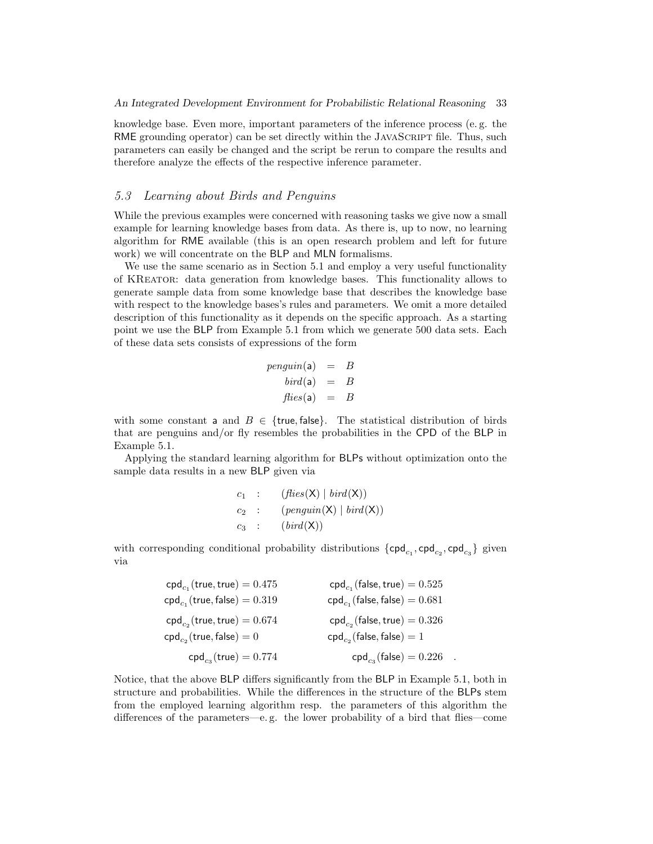knowledge base. Even more, important parameters of the inference process (e. g. the RME grounding operator) can be set directly within the JAVASCRIPT file. Thus, such parameters can easily be changed and the script be rerun to compare the results and therefore analyze the effects of the respective inference parameter.

# 5.3 Learning about Birds and Penguins

While the previous examples were concerned with reasoning tasks we give now a small example for learning knowledge bases from data. As there is, up to now, no learning algorithm for RME available (this is an open research problem and left for future work) we will concentrate on the BLP and MLN formalisms.

We use the same scenario as in Section 5.1 and employ a very useful functionality of KReator: data generation from knowledge bases. This functionality allows to generate sample data from some knowledge base that describes the knowledge base with respect to the knowledge bases's rules and parameters. We omit a more detailed description of this functionality as it depends on the specific approach. As a starting point we use the BLP from Example 5.1 from which we generate 500 data sets. Each of these data sets consists of expressions of the form

$$
penguin(a) = B
$$
  
\n
$$
bird(a) = B
$$
  
\n
$$
flies(a) = B
$$

with some constant a and  $B \in \{$ true, false $\}$ . The statistical distribution of birds that are penguins and/or fly resembles the probabilities in the CPD of the BLP in Example 5.1.

Applying the standard learning algorithm for BLPs without optimization onto the sample data results in a new BLP given via

$$
c_1 : (flies(X) | bird(X))
$$
  
\n
$$
c_2 : (penguin(X) | bird(X))
$$
  
\n
$$
c_3 : (bird(X))
$$

with corresponding conditional probability distributions  $\{\text{cpd}_{c_1}, \text{cpd}_{c_2}, \text{cpd}_{c_3}\}\$  given via

| $\text{cpd}_{c_1}(\text{true}, \text{true}) = 0.475$     | $\mathsf{cpd}_{c_1}(\mathsf{false},\mathsf{true})=0.525$    |
|----------------------------------------------------------|-------------------------------------------------------------|
| $\mathsf{cpd}_{c_1}(\mathsf{true},\mathsf{false})=0.319$ | $\mathsf{cpd}_{c_1}(\mathsf{false},\mathsf{false}) = 0.681$ |
| $cpd_{cs}(true, true) = 0.674$                           | $cpd_{cs}$ (false, true) = $0.326$                          |
| $\mathsf{cpd}_{c_2}(\mathsf{true},\mathsf{false})=0$     | $cpd_{c_2}$ (false, false) = 1                              |
| $cpd_{c3}(true) = 0.774$                                 | $\textsf{cpd}_{c_3}(\textsf{false}) = 0.226$ .              |

Notice, that the above BLP differs significantly from the BLP in Example 5.1, both in structure and probabilities. While the differences in the structure of the BLPs stem from the employed learning algorithm resp. the parameters of this algorithm the differences of the parameters—e. g. the lower probability of a bird that flies—come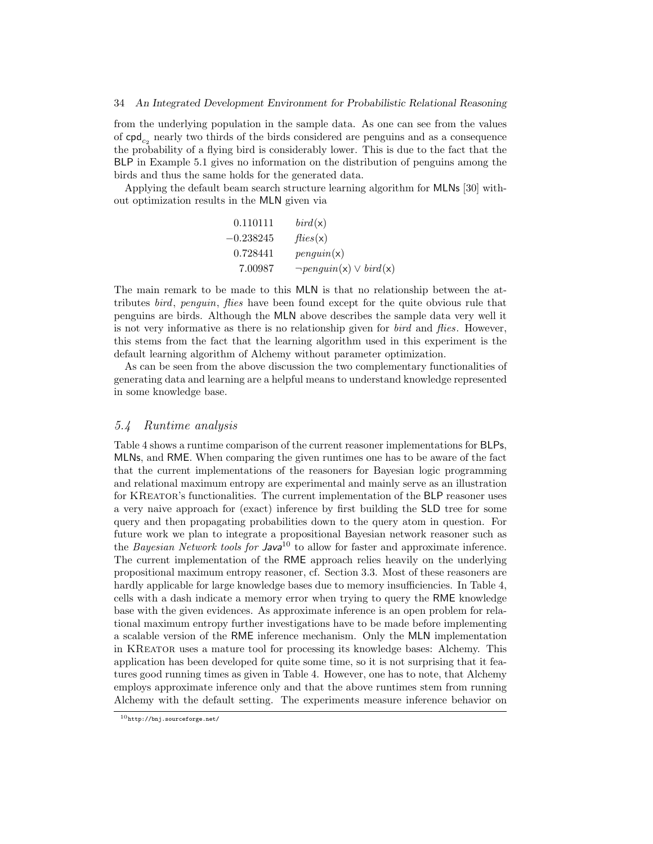from the underlying population in the sample data. As one can see from the values of  $\text{cpd}_{c_2}$  nearly two thirds of the birds considered are penguins and as a consequence the probability of a flying bird is considerably lower. This is due to the fact that the BLP in Example 5.1 gives no information on the distribution of penguins among the birds and thus the same holds for the generated data.

Applying the default beam search structure learning algorithm for MLNs [30] without optimization results in the MLN given via

| 0.110111    | bird(x)                        |
|-------------|--------------------------------|
| $-0.238245$ | flies(x)                       |
| 0.728441    | penguin(x)                     |
| 7.00987     | $\neg penguin(x) \lor bird(x)$ |

The main remark to be made to this MLN is that no relationship between the attributes bird, penguin, flies have been found except for the quite obvious rule that penguins are birds. Although the MLN above describes the sample data very well it is not very informative as there is no relationship given for bird and flies. However, this stems from the fact that the learning algorithm used in this experiment is the default learning algorithm of Alchemy without parameter optimization.

As can be seen from the above discussion the two complementary functionalities of generating data and learning are a helpful means to understand knowledge represented in some knowledge base.

### 5.4 Runtime analysis

Table 4 shows a runtime comparison of the current reasoner implementations for BLPs, MLNs, and RME. When comparing the given runtimes one has to be aware of the fact that the current implementations of the reasoners for Bayesian logic programming and relational maximum entropy are experimental and mainly serve as an illustration for KREATOR's functionalities. The current implementation of the BLP reasoner uses a very naive approach for (exact) inference by first building the SLD tree for some query and then propagating probabilities down to the query atom in question. For future work we plan to integrate a propositional Bayesian network reasoner such as the Bayesian Network tools for  $Java^{10}$  to allow for faster and approximate inference. The current implementation of the RME approach relies heavily on the underlying propositional maximum entropy reasoner, cf. Section 3.3. Most of these reasoners are hardly applicable for large knowledge bases due to memory insufficiencies. In Table 4, cells with a dash indicate a memory error when trying to query the RME knowledge base with the given evidences. As approximate inference is an open problem for relational maximum entropy further investigations have to be made before implementing a scalable version of the RME inference mechanism. Only the MLN implementation in KREATOR uses a mature tool for processing its knowledge bases: Alchemy. This application has been developed for quite some time, so it is not surprising that it features good running times as given in Table 4. However, one has to note, that Alchemy employs approximate inference only and that the above runtimes stem from running Alchemy with the default setting. The experiments measure inference behavior on

<sup>10</sup>http://bnj.sourceforge.net/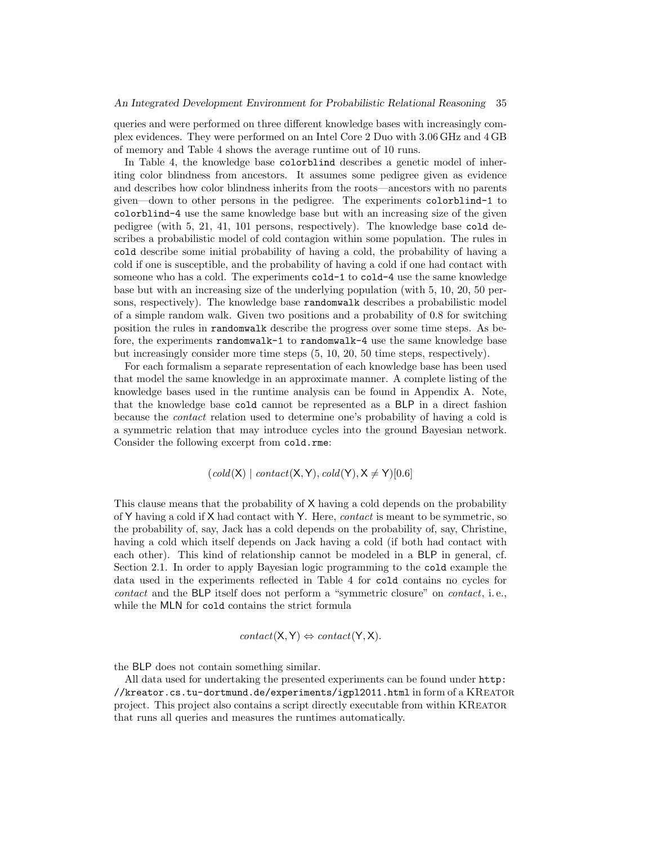queries and were performed on three different knowledge bases with increasingly complex evidences. They were performed on an Intel Core 2 Duo with 3.06 GHz and 4 GB of memory and Table 4 shows the average runtime out of 10 runs.

In Table 4, the knowledge base colorblind describes a genetic model of inheriting color blindness from ancestors. It assumes some pedigree given as evidence and describes how color blindness inherits from the roots—ancestors with no parents given—down to other persons in the pedigree. The experiments colorblind-1 to colorblind-4 use the same knowledge base but with an increasing size of the given pedigree (with 5, 21, 41, 101 persons, respectively). The knowledge base cold describes a probabilistic model of cold contagion within some population. The rules in cold describe some initial probability of having a cold, the probability of having a cold if one is susceptible, and the probability of having a cold if one had contact with someone who has a cold. The experiments cold-1 to cold-4 use the same knowledge base but with an increasing size of the underlying population (with 5, 10, 20, 50 persons, respectively). The knowledge base randomwalk describes a probabilistic model of a simple random walk. Given two positions and a probability of 0.8 for switching position the rules in randomwalk describe the progress over some time steps. As before, the experiments randomwalk-1 to randomwalk-4 use the same knowledge base but increasingly consider more time steps (5, 10, 20, 50 time steps, respectively).

For each formalism a separate representation of each knowledge base has been used that model the same knowledge in an approximate manner. A complete listing of the knowledge bases used in the runtime analysis can be found in Appendix A. Note, that the knowledge base cold cannot be represented as a BLP in a direct fashion because the contact relation used to determine one's probability of having a cold is a symmetric relation that may introduce cycles into the ground Bayesian network. Consider the following excerpt from cold.rme:

 $(cold(X) | contact(X, Y), cold(Y), X \neq Y)[0.6]$ 

This clause means that the probability of X having a cold depends on the probability of Y having a cold if X had contact with Y. Here, *contact* is meant to be symmetric, so the probability of, say, Jack has a cold depends on the probability of, say, Christine, having a cold which itself depends on Jack having a cold (if both had contact with each other). This kind of relationship cannot be modeled in a BLP in general, cf. Section 2.1. In order to apply Bayesian logic programming to the cold example the data used in the experiments reflected in Table 4 for cold contains no cycles for contact and the BLP itself does not perform a "symmetric closure" on contact, i. e., while the MLN for cold contains the strict formula

$$
contact(X, Y) \Leftrightarrow contact(Y, X).
$$

the BLP does not contain something similar.

All data used for undertaking the presented experiments can be found under http: //kreator.cs.tu-dortmund.de/experiments/igpl2011.html in form of a KREATOR project. This project also contains a script directly executable from within KReator that runs all queries and measures the runtimes automatically.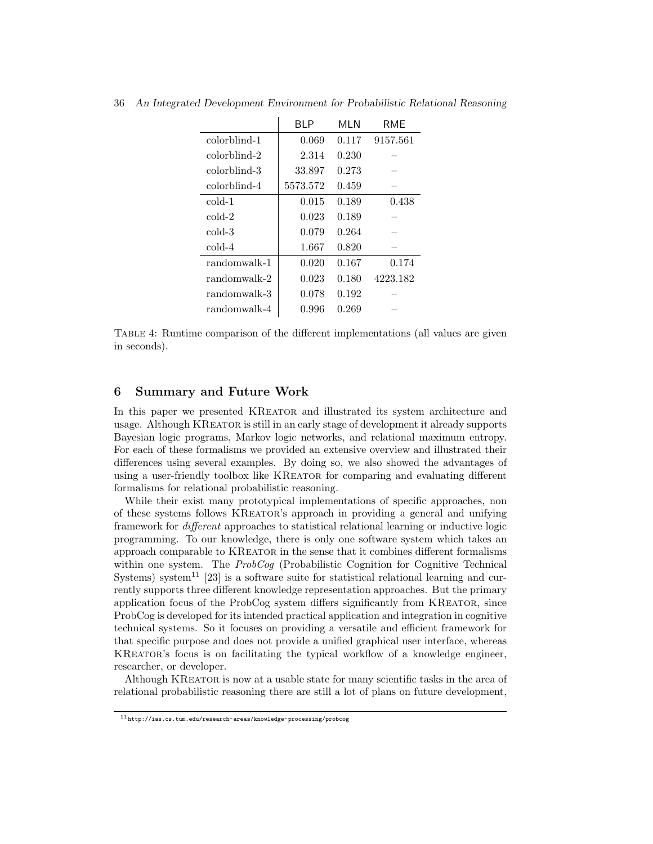|              | BLP      | MI N  | RME      |
|--------------|----------|-------|----------|
| colorblind-1 | 0.069    | 0.117 | 9157.561 |
| colorblind-2 | 2.314    | 0.230 |          |
| colorblind-3 | 33.897   | 0.273 |          |
| colorblind-4 | 5573.572 | 0.459 |          |
| cold-1       | 0.015    | 0.189 | 0.438    |
| cold-2       | 0.023    | 0.189 |          |
| cold-3       | 0.079    | 0.264 |          |
| cold-4       | 1.667    | 0.820 |          |
| randomwalk-1 | 0.020    | 0.167 | 0.174    |
| randomwalk-2 | 0.023    | 0.180 | 4223.182 |
| randomwalk-3 | 0.078    | 0.192 |          |
| randomwalk-4 | 0.996    | 0.269 |          |

36 An Integrated Development Environment for Probabilistic Relational Reasoning

Table 4: Runtime comparison of the different implementations (all values are given in seconds).

# 6 Summary and Future Work

In this paper we presented KREATOR and illustrated its system architecture and usage. Although KREATOR is still in an early stage of development it already supports Bayesian logic programs, Markov logic networks, and relational maximum entropy. For each of these formalisms we provided an extensive overview and illustrated their differences using several examples. By doing so, we also showed the advantages of using a user-friendly toolbox like KREATOR for comparing and evaluating different formalisms for relational probabilistic reasoning.

While their exist many prototypical implementations of specific approaches, non of these systems follows KREATOR's approach in providing a general and unifying framework for different approaches to statistical relational learning or inductive logic programming. To our knowledge, there is only one software system which takes an approach comparable to KREATOR in the sense that it combines different formalisms within one system. The ProbCog (Probabilistic Cognition for Cognitive Technical Systems) system<sup>11</sup> [23] is a software suite for statistical relational learning and currently supports three different knowledge representation approaches. But the primary application focus of the ProbCog system differs significantly from KREATOR, since ProbCog is developed for its intended practical application and integration in cognitive technical systems. So it focuses on providing a versatile and efficient framework for that specific purpose and does not provide a unified graphical user interface, whereas KReator's focus is on facilitating the typical workflow of a knowledge engineer, researcher, or developer.

Although KREATOR is now at a usable state for many scientific tasks in the area of relational probabilistic reasoning there are still a lot of plans on future development,

 $11$ http://ias.cs.tum.edu/research-areas/knowledge-processing/probcog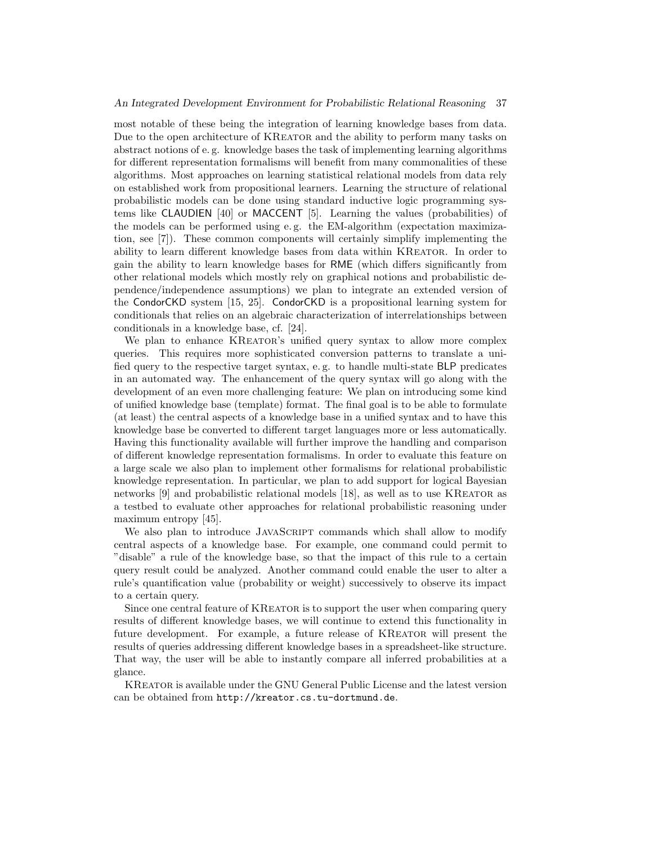most notable of these being the integration of learning knowledge bases from data. Due to the open architecture of KREATOR and the ability to perform many tasks on abstract notions of e. g. knowledge bases the task of implementing learning algorithms for different representation formalisms will benefit from many commonalities of these algorithms. Most approaches on learning statistical relational models from data rely on established work from propositional learners. Learning the structure of relational probabilistic models can be done using standard inductive logic programming systems like CLAUDIEN [40] or MACCENT [5]. Learning the values (probabilities) of the models can be performed using e. g. the EM-algorithm (expectation maximization, see [7]). These common components will certainly simplify implementing the ability to learn different knowledge bases from data within KREATOR. In order to gain the ability to learn knowledge bases for RME (which differs significantly from other relational models which mostly rely on graphical notions and probabilistic dependence/independence assumptions) we plan to integrate an extended version of the CondorCKD system [15, 25]. CondorCKD is a propositional learning system for conditionals that relies on an algebraic characterization of interrelationships between conditionals in a knowledge base, cf. [24].

We plan to enhance KREATOR's unified query syntax to allow more complex queries. This requires more sophisticated conversion patterns to translate a unified query to the respective target syntax, e. g. to handle multi-state BLP predicates in an automated way. The enhancement of the query syntax will go along with the development of an even more challenging feature: We plan on introducing some kind of unified knowledge base (template) format. The final goal is to be able to formulate (at least) the central aspects of a knowledge base in a unified syntax and to have this knowledge base be converted to different target languages more or less automatically. Having this functionality available will further improve the handling and comparison of different knowledge representation formalisms. In order to evaluate this feature on a large scale we also plan to implement other formalisms for relational probabilistic knowledge representation. In particular, we plan to add support for logical Bayesian networks [9] and probabilistic relational models [18], as well as to use KREATOR as a testbed to evaluate other approaches for relational probabilistic reasoning under maximum entropy [45].

We also plan to introduce JAVASCRIPT commands which shall allow to modify central aspects of a knowledge base. For example, one command could permit to "disable" a rule of the knowledge base, so that the impact of this rule to a certain query result could be analyzed. Another command could enable the user to alter a rule's quantification value (probability or weight) successively to observe its impact to a certain query.

Since one central feature of KREATOR is to support the user when comparing query results of different knowledge bases, we will continue to extend this functionality in future development. For example, a future release of KREATOR will present the results of queries addressing different knowledge bases in a spreadsheet-like structure. That way, the user will be able to instantly compare all inferred probabilities at a glance.

KReator is available under the GNU General Public License and the latest version can be obtained from http://kreator.cs.tu-dortmund.de.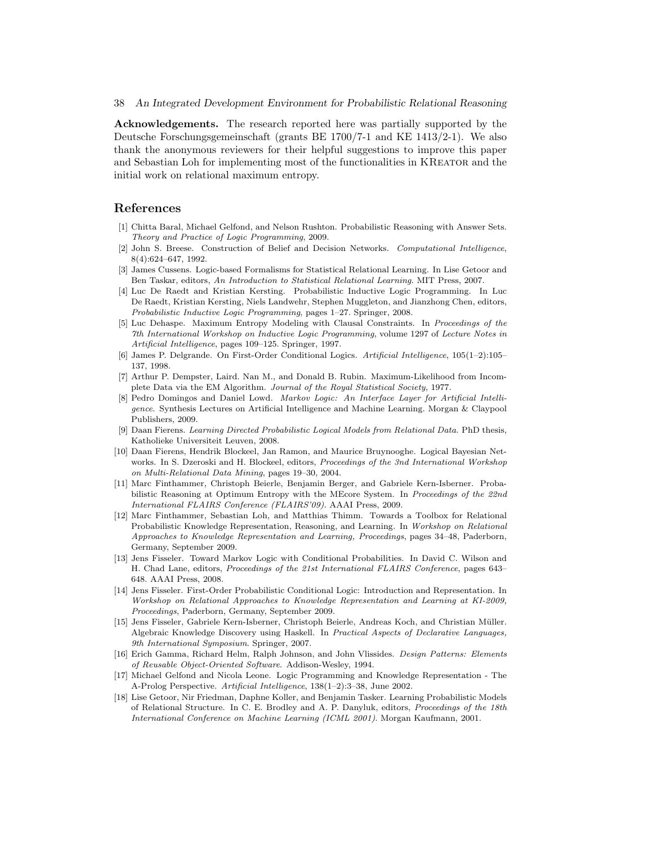Acknowledgements. The research reported here was partially supported by the Deutsche Forschungsgemeinschaft (grants BE 1700/7-1 and KE 1413/2-1). We also thank the anonymous reviewers for their helpful suggestions to improve this paper and Sebastian Loh for implementing most of the functionalities in KREATOR and the initial work on relational maximum entropy.

# References

- [1] Chitta Baral, Michael Gelfond, and Nelson Rushton. Probabilistic Reasoning with Answer Sets. Theory and Practice of Logic Programming, 2009.
- [2] John S. Breese. Construction of Belief and Decision Networks. Computational Intelligence, 8(4):624–647, 1992.
- [3] James Cussens. Logic-based Formalisms for Statistical Relational Learning. In Lise Getoor and Ben Taskar, editors, An Introduction to Statistical Relational Learning. MIT Press, 2007.
- [4] Luc De Raedt and Kristian Kersting. Probabilistic Inductive Logic Programming. In Luc De Raedt, Kristian Kersting, Niels Landwehr, Stephen Muggleton, and Jianzhong Chen, editors, Probabilistic Inductive Logic Programming, pages 1–27. Springer, 2008.
- [5] Luc Dehaspe. Maximum Entropy Modeling with Clausal Constraints. In Proceedings of the 7th International Workshop on Inductive Logic Programming, volume 1297 of Lecture Notes in Artificial Intelligence, pages 109–125. Springer, 1997.
- [6] James P. Delgrande. On First-Order Conditional Logics. Artificial Intelligence, 105(1–2):105– 137, 1998.
- [7] Arthur P. Dempster, Laird. Nan M., and Donald B. Rubin. Maximum-Likelihood from Incomplete Data via the EM Algorithm. Journal of the Royal Statistical Society, 1977.
- [8] Pedro Domingos and Daniel Lowd. Markov Logic: An Interface Layer for Artificial Intelligence. Synthesis Lectures on Artificial Intelligence and Machine Learning. Morgan & Claypool Publishers, 2009.
- [9] Daan Fierens. Learning Directed Probabilistic Logical Models from Relational Data. PhD thesis, Katholieke Universiteit Leuven, 2008.
- [10] Daan Fierens, Hendrik Blockeel, Jan Ramon, and Maurice Bruynooghe. Logical Bayesian Networks. In S. Dzeroski and H. Blockeel, editors, Proceedings of the 3nd International Workshop on Multi-Relational Data Mining, pages 19–30, 2004.
- [11] Marc Finthammer, Christoph Beierle, Benjamin Berger, and Gabriele Kern-Isberner. Probabilistic Reasoning at Optimum Entropy with the MEcore System. In Proceedings of the 22nd International FLAIRS Conference (FLAIRS'09). AAAI Press, 2009.
- [12] Marc Finthammer, Sebastian Loh, and Matthias Thimm. Towards a Toolbox for Relational Probabilistic Knowledge Representation, Reasoning, and Learning. In Workshop on Relational Approaches to Knowledge Representation and Learning, Proceedings, pages 34–48, Paderborn, Germany, September 2009.
- [13] Jens Fisseler. Toward Markov Logic with Conditional Probabilities. In David C. Wilson and H. Chad Lane, editors, Proceedings of the 21st International FLAIRS Conference, pages 643– 648. AAAI Press, 2008.
- [14] Jens Fisseler. First-Order Probabilistic Conditional Logic: Introduction and Representation. In Workshop on Relational Approaches to Knowledge Representation and Learning at KI-2009, Proceedings, Paderborn, Germany, September 2009.
- [15] Jens Fisseler, Gabriele Kern-Isberner, Christoph Beierle, Andreas Koch, and Christian Müller. Algebraic Knowledge Discovery using Haskell. In Practical Aspects of Declarative Languages, 9th International Symposium. Springer, 2007.
- [16] Erich Gamma, Richard Helm, Ralph Johnson, and John Vlissides. Design Patterns: Elements of Reusable Object-Oriented Software. Addison-Wesley, 1994.
- [17] Michael Gelfond and Nicola Leone. Logic Programming and Knowledge Representation The A-Prolog Perspective. Artificial Intelligence, 138(1–2):3–38, June 2002.
- [18] Lise Getoor, Nir Friedman, Daphne Koller, and Benjamin Tasker. Learning Probabilistic Models of Relational Structure. In C. E. Brodley and A. P. Danyluk, editors, Proceedings of the 18th International Conference on Machine Learning (ICML 2001). Morgan Kaufmann, 2001.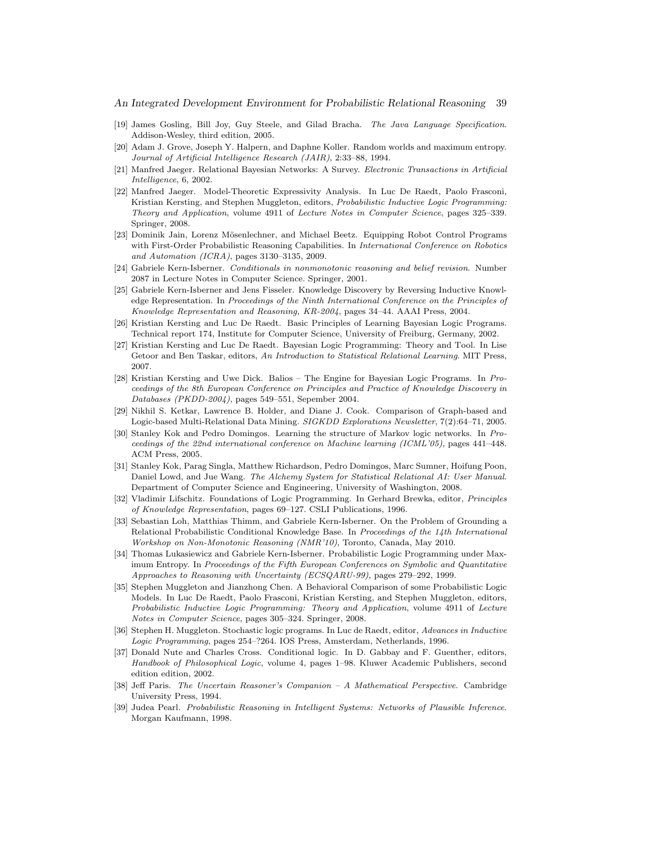- [19] James Gosling, Bill Joy, Guy Steele, and Gilad Bracha. The Java Language Specification. Addison-Wesley, third edition, 2005.
- [20] Adam J. Grove, Joseph Y. Halpern, and Daphne Koller. Random worlds and maximum entropy. Journal of Artificial Intelligence Research (JAIR), 2:33–88, 1994.
- [21] Manfred Jaeger. Relational Bayesian Networks: A Survey. Electronic Transactions in Artificial Intelligence, 6, 2002.
- [22] Manfred Jaeger. Model-Theoretic Expressivity Analysis. In Luc De Raedt, Paolo Frasconi, Kristian Kersting, and Stephen Muggleton, editors, Probabilistic Inductive Logic Programming: Theory and Application, volume 4911 of Lecture Notes in Computer Science, pages 325–339. Springer, 2008.
- [23] Dominik Jain, Lorenz Mösenlechner, and Michael Beetz. Equipping Robot Control Programs with First-Order Probabilistic Reasoning Capabilities. In International Conference on Robotics and Automation (ICRA), pages 3130–3135, 2009.
- [24] Gabriele Kern-Isberner. Conditionals in nonmonotonic reasoning and belief revision. Number 2087 in Lecture Notes in Computer Science. Springer, 2001.
- [25] Gabriele Kern-Isberner and Jens Fisseler. Knowledge Discovery by Reversing Inductive Knowledge Representation. In Proceedings of the Ninth International Conference on the Principles of Knowledge Representation and Reasoning, KR-2004, pages 34–44. AAAI Press, 2004.
- [26] Kristian Kersting and Luc De Raedt. Basic Principles of Learning Bayesian Logic Programs. Technical report 174, Institute for Computer Science, University of Freiburg, Germany, 2002.
- [27] Kristian Kersting and Luc De Raedt. Bayesian Logic Programming: Theory and Tool. In Lise Getoor and Ben Taskar, editors, An Introduction to Statistical Relational Learning. MIT Press, 2007.
- [28] Kristian Kersting and Uwe Dick. Balios The Engine for Bayesian Logic Programs. In Proceedings of the 8th European Conference on Principles and Practice of Knowledge Discovery in Databases (PKDD-2004), pages 549–551, Sepember 2004.
- [29] Nikhil S. Ketkar, Lawrence B. Holder, and Diane J. Cook. Comparison of Graph-based and Logic-based Multi-Relational Data Mining. SIGKDD Explorations Newsletter, 7(2):64–71, 2005.
- [30] Stanley Kok and Pedro Domingos. Learning the structure of Markov logic networks. In Proceedings of the 22nd international conference on Machine learning (ICML'05), pages 441–448. ACM Press, 2005.
- [31] Stanley Kok, Parag Singla, Matthew Richardson, Pedro Domingos, Marc Sumner, Hoifung Poon, Daniel Lowd, and Jue Wang. The Alchemy System for Statistical Relational AI: User Manual. Department of Computer Science and Engineering, University of Washington, 2008.
- [32] Vladimir Lifschitz. Foundations of Logic Programming. In Gerhard Brewka, editor, Principles of Knowledge Representation, pages 69–127. CSLI Publications, 1996.
- [33] Sebastian Loh, Matthias Thimm, and Gabriele Kern-Isberner. On the Problem of Grounding a Relational Probabilistic Conditional Knowledge Base. In Proceedings of the 14th International Workshop on Non-Monotonic Reasoning (NMR'10), Toronto, Canada, May 2010.
- [34] Thomas Lukasiewicz and Gabriele Kern-Isberner. Probabilistic Logic Programming under Maximum Entropy. In Proceedings of the Fifth European Conferences on Symbolic and Quantitative Approaches to Reasoning with Uncertainty (ECSQARU-99), pages 279–292, 1999.
- [35] Stephen Muggleton and Jianzhong Chen. A Behavioral Comparison of some Probabilistic Logic Models. In Luc De Raedt, Paolo Frasconi, Kristian Kersting, and Stephen Muggleton, editors, Probabilistic Inductive Logic Programming: Theory and Application, volume 4911 of Lecture Notes in Computer Science, pages 305–324. Springer, 2008.
- [36] Stephen H. Muggleton. Stochastic logic programs. In Luc de Raedt, editor, Advances in Inductive Logic Programming, pages 254–?264. IOS Press, Amsterdam, Netherlands, 1996.
- [37] Donald Nute and Charles Cross. Conditional logic. In D. Gabbay and F. Guenther, editors, Handbook of Philosophical Logic, volume 4, pages 1–98. Kluwer Academic Publishers, second edition edition, 2002.
- [38] Jeff Paris. The Uncertain Reasoner's Companion A Mathematical Perspective. Cambridge University Press, 1994.
- [39] Judea Pearl. Probabilistic Reasoning in Intelligent Systems: Networks of Plausible Inference. Morgan Kaufmann, 1998.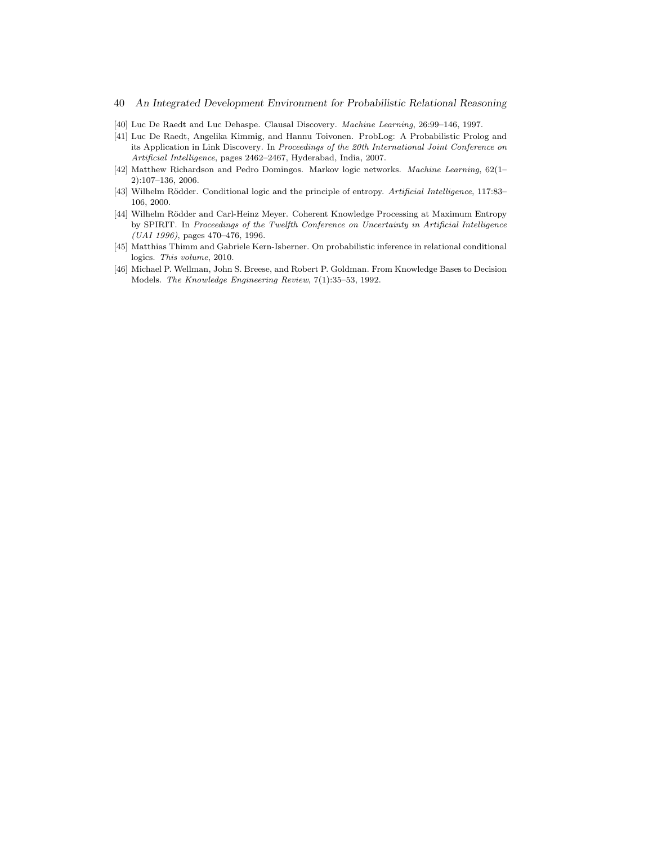- [40] Luc De Raedt and Luc Dehaspe. Clausal Discovery. Machine Learning, 26:99–146, 1997.
- [41] Luc De Raedt, Angelika Kimmig, and Hannu Toivonen. ProbLog: A Probabilistic Prolog and its Application in Link Discovery. In Proceedings of the 20th International Joint Conference on Artificial Intelligence, pages 2462–2467, Hyderabad, India, 2007.
- [42] Matthew Richardson and Pedro Domingos. Markov logic networks. Machine Learning, 62(1– 2):107–136, 2006.
- [43] Wilhelm Rödder. Conditional logic and the principle of entropy. Artificial Intelligence, 117:83– 106, 2000.
- [44] Wilhelm Rödder and Carl-Heinz Meyer. Coherent Knowledge Processing at Maximum Entropy by SPIRIT. In Proceedings of the Twelfth Conference on Uncertainty in Artificial Intelligence (UAI 1996), pages 470–476, 1996.
- [45] Matthias Thimm and Gabriele Kern-Isberner. On probabilistic inference in relational conditional logics. This volume, 2010.
- [46] Michael P. Wellman, John S. Breese, and Robert P. Goldman. From Knowledge Bases to Decision Models. The Knowledge Engineering Review, 7(1):35–53, 1992.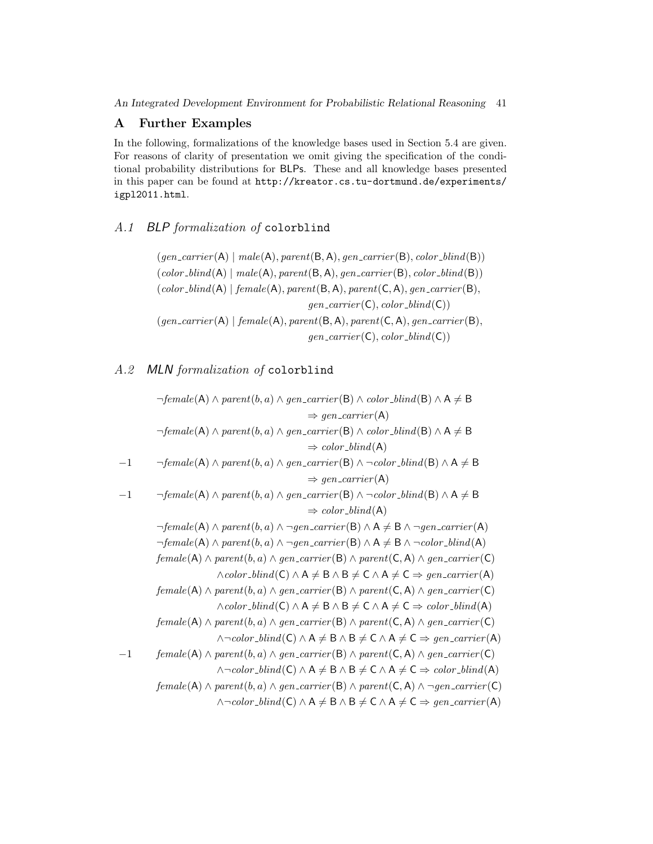# A Further Examples

In the following, formalizations of the knowledge bases used in Section 5.4 are given. For reasons of clarity of presentation we omit giving the specification of the conditional probability distributions for BLPs. These and all knowledge bases presented in this paper can be found at http://kreator.cs.tu-dortmund.de/experiments/ igpl2011.html.

# A.1 BLP formalization of colorblind

 $(gen\_carrier(A) | male(A), parent(B, A), gen\_carrier(B), color\_blind(B))$  $(color\_blind(A) | male(A), parent(B, A), gen-carrier(B), color\_blind(B))$  $(color\_blind(A) | female(A), parent(B, A), parent(C, A), gen-carrier(B),$  $gen\_carrier(C), color\_blind(C))$  $(gen\_carrier(A) | female(A), parent(B, A), parent(C, A), gen\_carrier(B),$  $gen\_carrier(C), color\_blind(C))$ 

# A.2 MLN formalization of colorblind

 $\neg female(A) \wedge parent(b, a) \wedge gen-carrier(B) \wedge color\_blind(B) \wedge A \neq B$  $\Rightarrow$  gen\_carrier(A)  $\neg female(A) \wedge parent(b, a) \wedge gen\_carrier(B) \wedge color\_blind(B) \wedge A \neq B$  $\Rightarrow$  color\_blind(A)  $-1$   $\qquad \neg female(A) \wedge parent(b, a) \wedge gen-carrier(B) \wedge \neg color\_blind(B) \wedge A \neq B$  $\Rightarrow$  gen\_carrier(A)  $-1$   $\qquad \neg female(A) \wedge parent(b, a) \wedge gen-carrier(B) \wedge \neg color \, blind(B) \wedge A \neq B$  $\Rightarrow$  color\_blind(A)  $\neg female(A) \wedge parent(b, a) \wedge \neg gen-carrier(B) \wedge A \neq B \wedge \neg gen-carrier(A)$  $\neg female(A) \wedge parent(b, a) \wedge \neg qen\_carrier(B) \wedge A \neq B \wedge \neg color\_blind(A)$  $female(A) \wedge parent(b, a) \wedge gen\_carrier(B) \wedge parent(C, A) \wedge gen\_carrier(C)$  $\wedge color\_blind(C) \wedge A \neq B \wedge B \neq C \wedge A \neq C \Rightarrow gen\_carrier(A)$  $female(A) \wedge parent(b, a) \wedge gen-carrier(B) \wedge parent(C, A) \wedge gen-carrier(C)$  $\wedge color\_blind(C) \wedge A \neq B \wedge B \neq C \wedge A \neq C \Rightarrow color\_blind(A)$  $female(A) \wedge parent(b, a) \wedge gen-carrier(B) \wedge parent(C, A) \wedge gen-carrier(C)$  $\wedge \neg color\_{blind}(C) \wedge A \neq B \wedge B \neq C \wedge A \neq C \Rightarrow \text{gen\_carrier}(A)$  $-1$  female(A)  $\land$  parent(b, a)  $\land$  gen\_carrier(B)  $\land$  parent(C, A)  $\land$  gen\_carrier(C)  $\wedge \neg color\_blind(C) \wedge A \neq B \wedge B \neq C \wedge A \neq C \Rightarrow color\_blind(A)$  $female(A) \wedge parent(b, a) \wedge gen-carrier(B) \wedge parent(C, A) \wedge \neg gen-carrier(C)$  $\land \neg color\_blind(C) \land A \neq B \land B \neq C \land A \neq C \Rightarrow \text{gen\_carrier}(A)$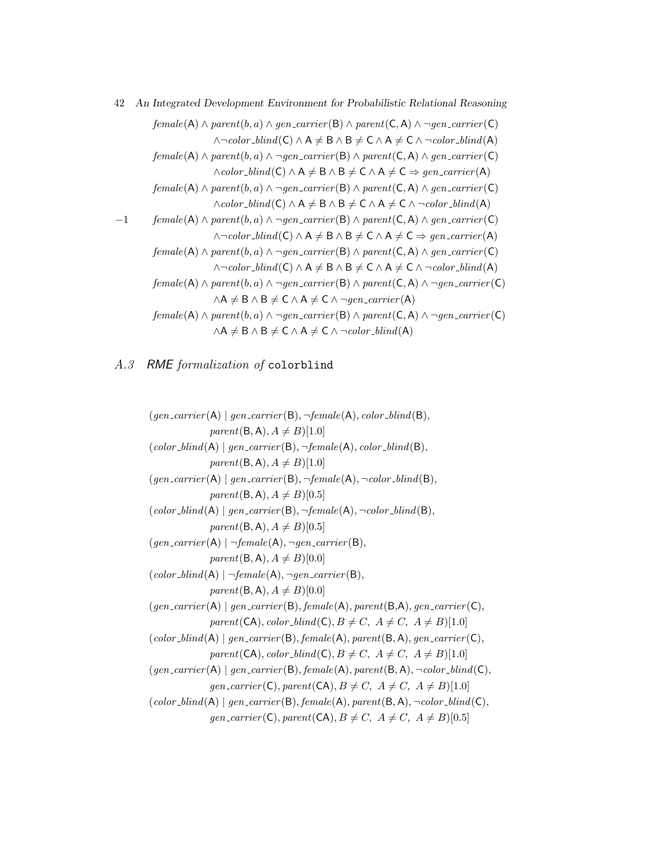$female(A) \wedge parent(b, a) \wedge gen-carrier(B) \wedge parent(C, A) \wedge \neg gen-carrier(C)$  $\wedge \neg color\_blind(C) \wedge A \neq B \wedge B \neq C \wedge A \neq C \wedge \neg color\_blind(A)$  $female(A) \wedge parent(b, a) \wedge \neg gen-carrier(B) \wedge parent(C, A) \wedge gen-carrier(C)$  $\wedge color\_blind(C) \wedge A \neq B \wedge B \neq C \wedge A \neq C \Rightarrow gen\_carrier(A)$  $female(A) \wedge parent(b, a) \wedge \neg gen\_carrier(B) \wedge parent(C, A) \wedge gen\_carrier(C)$  $\wedge color\_blind(C) \wedge A \neq B \wedge B \neq C \wedge A \neq C \wedge \neg color\_blind(A)$  $-1$  female(A)  $\land$  parent(b, a)  $\land$  ¬gen carrier(B)  $\land$  parent(C,A)  $\land$  gen carrier(C)  $\wedge \neg color\_blind(C) \wedge A \neq B \wedge B \neq C \wedge A \neq C \Rightarrow \text{gen\_carrier}(A)$  $female(A) \wedge parent(b, a) \wedge \neg gen\_carrier(B) \wedge parent(C, A) \wedge gen\_carrier(C)$  $\wedge \neg color\_blind(C) \wedge A \neq B \wedge B \neq C \wedge A \neq C \wedge \neg color\_blind(A)$  $female(A) \wedge parent(b, a) \wedge \neg qen\_carrier(B) \wedge parent(C, A) \wedge \neg qen\_carrier(C)$  $\land A \neq B \land B \neq C \land A \neq C \land \neg gen\_carrier(A)$  $female(A) \wedge parent(b, a) \wedge \neg gen-carrier(B) \wedge parent(C, A) \wedge \neg gen-carrier(C)$  $\land A \neq B \land B \neq C \land A \neq C \land \neg color\_blind(A)$ 

# A.3 RME formalization of colorblind

 $(gen\_carrier(A) | gen\_carrier(B), \neg female(A), color\_blind(B),$  $parent(B, A), A \neq B)[1.0]$  $(color\_blind(A) | gen\_carrier(B), \neg female(A), color\_blind(B),$  $parent(B, A), A \neq B)[1.0]$  $(gen\_carrier(A) | gen\_carrier(B), \neg female(A), \neg color\_blind(B),$  $parent(B, A), A \neq B)[0.5]$  $(color\_blind(A) | gen\_carrier(B), \neg female(A), \neg color\_blind(B),$  $parent(B, A), A \neq B)[0.5]$  $(qen\_carrier(A) | \neg female(A), \neg gen\_carrier(B),$  $parent(B, A), A \neq B)[0.0]$  $(color\_blind(A) | \neg female(A), \neg gen\_carrier(B),$  $parent(B, A), A \neq B)[0.0]$  $(gen\_carrier(A) | gen\_carrier(B), female(A), parent(B,A), gen\_carrier(C),$ parent(CA), color\_blind(C),  $B \neq C$ ,  $A \neq C$ ,  $A \neq B$ [1.0]  $(color\_blind(A) | gen-carrier(B), female(A), parent(B, A), gen-carrier(C),$ parent(CA), color\_blind(C),  $B \neq C$ ,  $A \neq C$ ,  $A \neq B$ [1.0]  $(gen\_carrier(A) | gen\_carrier(B), female(A), parent(B, A), \neg color\_blind(C),$ gen\_carrier(C), parent(CA),  $B \neq C$ ,  $A \neq C$ ,  $A \neq B$ [1.0]  $(color\_blind(A) | gen-carrier(B), female(A), parent(B, A), \neg color\_blind(C),$ gen\_carrier(C), parent(CA),  $B \neq C$ ,  $A \neq C$ ,  $A \neq B$ [0.5]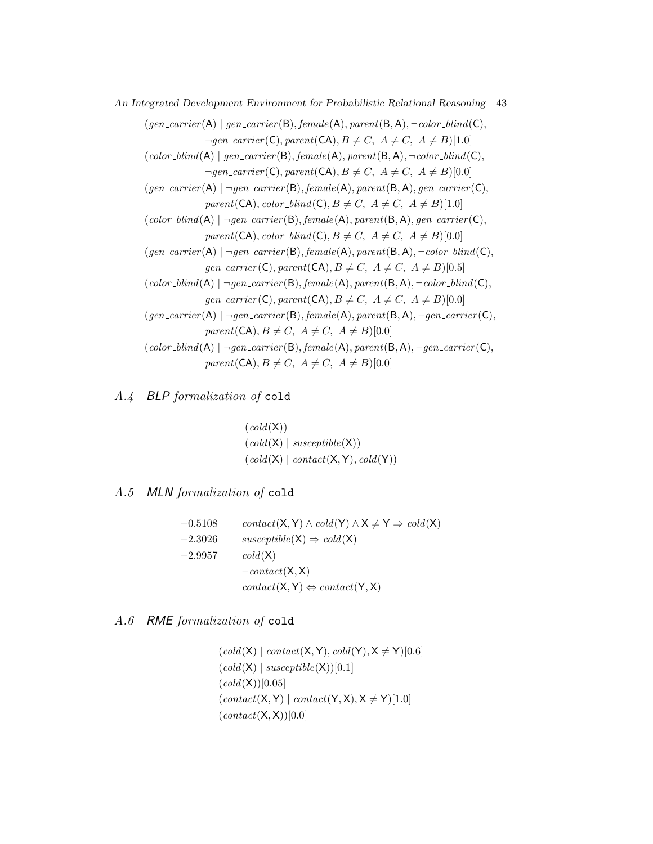$(qen\_carrier(A) | gen\_carrier(B), female(A), parent(B, A), \neg color\_blind(C),$  $\neg gen\_carrier(C), parent(CA), B \neq C, A \neq C, A \neq B$ [1.0]  $(color\_blind(A) | gen\_carrier(B), female(A), parent(B, A), \neg color\_blind(C),$  $\neg gen\_carrier(C), parent(CA), B \neq C, A \neq C, A \neq B$ [0.0]  $(gen\_carrier(A) | \neg gen\_carrier(B), female(A), parent(B, A), gen\_carrier(C),$ parent(CA), color\_blind(C),  $B \neq C$ ,  $A \neq C$ ,  $A \neq B$ [1.0]  $(color\_blind(A) | \neg gen\_carrier(B), female(A), parent(B, A), gen\_carrier(C),$ parent(CA), color\_blind(C),  $B \neq C$ ,  $A \neq C$ ,  $A \neq B$ [0.0]  $(gen\_carrier(A) | \neg gen\_carrier(B), female(A), parent(B, A), \neg color\_blind(C),$ gen\_carrier(C), parent(CA),  $B \neq C$ ,  $A \neq C$ ,  $A \neq B$ [0.5]  $(color\_blind(A) | \neg qen\_carrier(B), female(A), parent(B, A), \neg color\_blind(C),$ gen\_carrier(C), parent(CA),  $B \neq C$ ,  $A \neq C$ ,  $A \neq B$ [0.0]  $(gen\_carrier(A) | \neg gen\_carrier(B), female(A), parent(B, A), \neg gen\_carrier(C),$ parent(CA),  $B \neq C$ ,  $A \neq C$ ,  $A \neq B$ [0.0]  $(color\_blind(A) | \neg gen\_carrier(B), female(A), parent(B, A), \neg gen\_carrier(C),$ parent(CA),  $B \neq C$ ,  $A \neq C$ ,  $A \neq B$ )[0.0]

# A.4 BLP formalization of cold

 $(cold(X))$  $(cold(X) | susceptible(X))$  $(cold(X) | contact(X, Y), cold(Y))$ 

# A.5 MLN formalization of cold

 $-0.5108$  contact(X, Y) ∧ cold(Y) ∧ X  $\neq$  Y  $\Rightarrow$  cold(X)  $-2.3026$  susceptible(X)  $\Rightarrow$  cold(X)  $-2.9957 \qquad \text{cold}$ (X)  $\neg contact(X, X)$  $contact(X, Y) \Leftrightarrow contact(Y, X)$ 

# A.6 RME formalization of cold

 $(cold(X) | contact(X, Y), cold(Y), X \neq Y)[0.6]$  $(cold(X) | susceptible(X))[0.1]$  $(cold(X))[0.05]$  $(contact(X, Y) | contact(Y, X), X \neq Y)[1.0]$  $(contact(X, X))[0.0]$